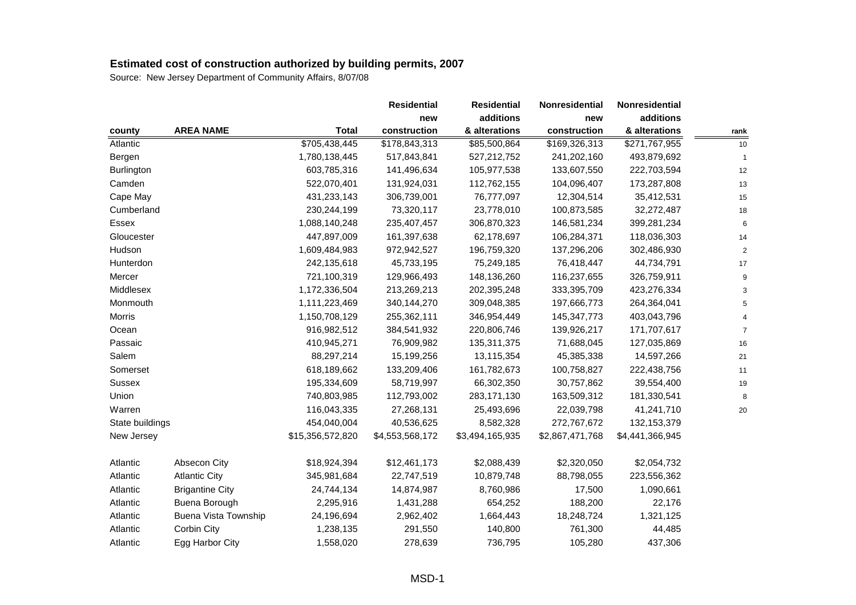|                 |                             |                  | <b>Residential</b> | <b>Residential</b> | Nonresidential  | Nonresidential  |                |
|-----------------|-----------------------------|------------------|--------------------|--------------------|-----------------|-----------------|----------------|
|                 |                             |                  | new                | additions          | new             | additions       |                |
| county          | <b>AREA NAME</b>            | <b>Total</b>     | construction       | & alterations      | construction    | & alterations   | rank           |
| Atlantic        |                             | \$705,438,445    | \$178,843,313      | \$85,500,864       | \$169,326,313   | \$271,767,955   | 10             |
| Bergen          |                             | 1,780,138,445    | 517,843,841        | 527,212,752        | 241,202,160     | 493,879,692     | $\mathbf{1}$   |
| Burlington      |                             | 603,785,316      | 141,496,634        | 105,977,538        | 133,607,550     | 222,703,594     | 12             |
| Camden          |                             | 522,070,401      | 131,924,031        | 112,762,155        | 104,096,407     | 173,287,808     | 13             |
| Cape May        |                             | 431,233,143      | 306,739,001        | 76,777,097         | 12,304,514      | 35,412,531      | 15             |
| Cumberland      |                             | 230,244,199      | 73,320,117         | 23,778,010         | 100,873,585     | 32,272,487      | 18             |
| Essex           |                             | 1,088,140,248    | 235,407,457        | 306,870,323        | 146,581,234     | 399,281,234     | 6              |
| Gloucester      |                             | 447,897,009      | 161,397,638        | 62,178,697         | 106,284,371     | 118,036,303     | 14             |
| Hudson          |                             | 1,609,484,983    | 972,942,527        | 196,759,320        | 137,296,206     | 302,486,930     | $\overline{2}$ |
| Hunterdon       |                             | 242,135,618      | 45,733,195         | 75,249,185         | 76,418,447      | 44,734,791      | 17             |
| Mercer          |                             | 721,100,319      | 129,966,493        | 148,136,260        | 116,237,655     | 326,759,911     | 9              |
| Middlesex       |                             | 1,172,336,504    | 213,269,213        | 202,395,248        | 333,395,709     | 423,276,334     | 3              |
| Monmouth        |                             | 1,111,223,469    | 340,144,270        | 309,048,385        | 197,666,773     | 264,364,041     | 5              |
| Morris          |                             | 1,150,708,129    | 255,362,111        | 346,954,449        | 145, 347, 773   | 403,043,796     | $\overline{A}$ |
| Ocean           |                             | 916,982,512      | 384,541,932        | 220,806,746        | 139,926,217     | 171,707,617     | $\overline{7}$ |
| Passaic         |                             | 410,945,271      | 76,909,982         | 135,311,375        | 71,688,045      | 127,035,869     | 16             |
| Salem           |                             | 88,297,214       | 15,199,256         | 13,115,354         | 45,385,338      | 14,597,266      | 21             |
| Somerset        |                             | 618,189,662      | 133,209,406        | 161,782,673        | 100,758,827     | 222,438,756     | 11             |
| Sussex          |                             | 195,334,609      | 58,719,997         | 66,302,350         | 30,757,862      | 39,554,400      | 19             |
| Union           |                             | 740,803,985      | 112,793,002        | 283,171,130        | 163,509,312     | 181,330,541     | 8              |
| Warren          |                             | 116,043,335      | 27,268,131         | 25,493,696         | 22,039,798      | 41,241,710      | 20             |
| State buildings |                             | 454,040,004      | 40,536,625         | 8,582,328          | 272,767,672     | 132, 153, 379   |                |
| New Jersey      |                             | \$15,356,572,820 | \$4,553,568,172    | \$3,494,165,935    | \$2,867,471,768 | \$4,441,366,945 |                |
| Atlantic        | Absecon City                | \$18,924,394     | \$12,461,173       | \$2,088,439        | \$2,320,050     | \$2,054,732     |                |
| Atlantic        | <b>Atlantic City</b>        | 345,981,684      | 22,747,519         | 10,879,748         | 88,798,055      | 223,556,362     |                |
| Atlantic        | <b>Brigantine City</b>      | 24,744,134       | 14,874,987         | 8,760,986          | 17,500          | 1,090,661       |                |
| Atlantic        | Buena Borough               | 2,295,916        | 1,431,288          | 654,252            | 188,200         | 22,176          |                |
| Atlantic        | <b>Buena Vista Township</b> | 24,196,694       | 2,962,402          | 1,664,443          | 18,248,724      | 1,321,125       |                |
| Atlantic        | Corbin City                 | 1,238,135        | 291,550            | 140,800            | 761,300         | 44,485          |                |
| Atlantic        | Egg Harbor City             | 1,558,020        | 278,639            | 736,795            | 105,280         | 437,306         |                |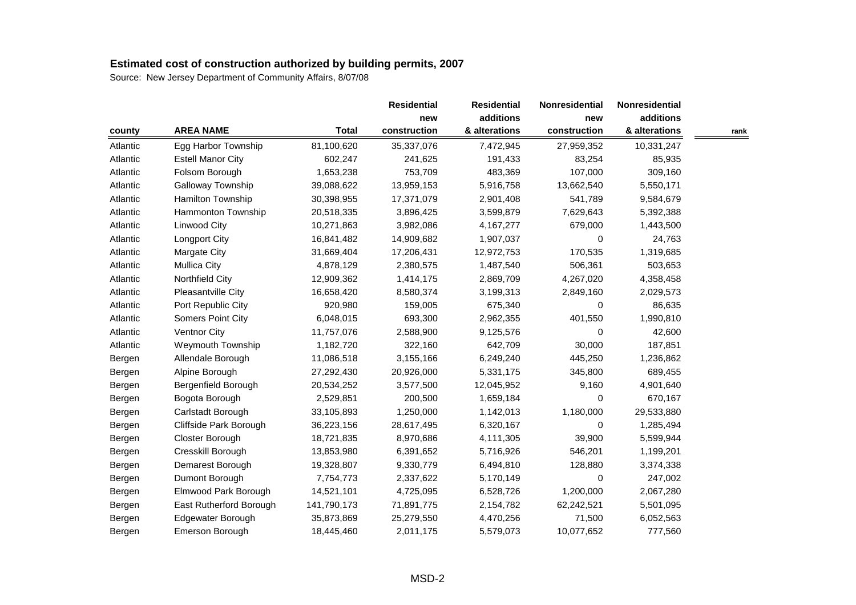|          |                          |              | <b>Residential</b> | <b>Residential</b> | Nonresidential | Nonresidential |      |
|----------|--------------------------|--------------|--------------------|--------------------|----------------|----------------|------|
|          |                          |              | new                | additions          | new            | additions      |      |
| county   | <b>AREA NAME</b>         | <b>Total</b> | construction       | & alterations      | construction   | & alterations  | rank |
| Atlantic | Egg Harbor Township      | 81,100,620   | 35,337,076         | 7,472,945          | 27,959,352     | 10,331,247     |      |
| Atlantic | <b>Estell Manor City</b> | 602,247      | 241,625            | 191,433            | 83,254         | 85,935         |      |
| Atlantic | Folsom Borough           | 1,653,238    | 753,709            | 483,369            | 107,000        | 309,160        |      |
| Atlantic | Galloway Township        | 39,088,622   | 13,959,153         | 5,916,758          | 13,662,540     | 5,550,171      |      |
| Atlantic | Hamilton Township        | 30,398,955   | 17,371,079         | 2,901,408          | 541,789        | 9,584,679      |      |
| Atlantic | Hammonton Township       | 20,518,335   | 3,896,425          | 3,599,879          | 7,629,643      | 5,392,388      |      |
| Atlantic | Linwood City             | 10,271,863   | 3,982,086          | 4,167,277          | 679,000        | 1,443,500      |      |
| Atlantic | <b>Longport City</b>     | 16,841,482   | 14,909,682         | 1,907,037          | 0              | 24,763         |      |
| Atlantic | Margate City             | 31,669,404   | 17,206,431         | 12,972,753         | 170,535        | 1,319,685      |      |
| Atlantic | <b>Mullica City</b>      | 4,878,129    | 2,380,575          | 1,487,540          | 506,361        | 503,653        |      |
| Atlantic | Northfield City          | 12,909,362   | 1,414,175          | 2,869,709          | 4,267,020      | 4,358,458      |      |
| Atlantic | Pleasantville City       | 16,658,420   | 8,580,374          | 3,199,313          | 2,849,160      | 2,029,573      |      |
| Atlantic | Port Republic City       | 920,980      | 159,005            | 675,340            | $\Omega$       | 86,635         |      |
| Atlantic | Somers Point City        | 6,048,015    | 693,300            | 2,962,355          | 401,550        | 1,990,810      |      |
| Atlantic | Ventnor City             | 11,757,076   | 2,588,900          | 9,125,576          | 0              | 42,600         |      |
| Atlantic | Weymouth Township        | 1,182,720    | 322,160            | 642,709            | 30,000         | 187,851        |      |
| Bergen   | Allendale Borough        | 11,086,518   | 3,155,166          | 6,249,240          | 445,250        | 1,236,862      |      |
| Bergen   | Alpine Borough           | 27,292,430   | 20,926,000         | 5,331,175          | 345,800        | 689,455        |      |
| Bergen   | Bergenfield Borough      | 20,534,252   | 3,577,500          | 12,045,952         | 9,160          | 4,901,640      |      |
| Bergen   | Bogota Borough           | 2,529,851    | 200,500            | 1,659,184          | 0              | 670,167        |      |
| Bergen   | Carlstadt Borough        | 33,105,893   | 1,250,000          | 1,142,013          | 1,180,000      | 29,533,880     |      |
| Bergen   | Cliffside Park Borough   | 36,223,156   | 28,617,495         | 6,320,167          | 0              | 1,285,494      |      |
| Bergen   | Closter Borough          | 18,721,835   | 8,970,686          | 4,111,305          | 39,900         | 5,599,944      |      |
| Bergen   | Cresskill Borough        | 13,853,980   | 6,391,652          | 5,716,926          | 546,201        | 1,199,201      |      |
| Bergen   | Demarest Borough         | 19,328,807   | 9,330,779          | 6,494,810          | 128,880        | 3,374,338      |      |
| Bergen   | Dumont Borough           | 7,754,773    | 2,337,622          | 5,170,149          | 0              | 247,002        |      |
| Bergen   | Elmwood Park Borough     | 14,521,101   | 4,725,095          | 6,528,726          | 1,200,000      | 2,067,280      |      |
| Bergen   | East Rutherford Borough  | 141,790,173  | 71,891,775         | 2,154,782          | 62,242,521     | 5,501,095      |      |
| Bergen   | Edgewater Borough        | 35,873,869   | 25,279,550         | 4,470,256          | 71,500         | 6,052,563      |      |
| Bergen   | Emerson Borough          | 18,445,460   | 2,011,175          | 5,579,073          | 10,077,652     | 777,560        |      |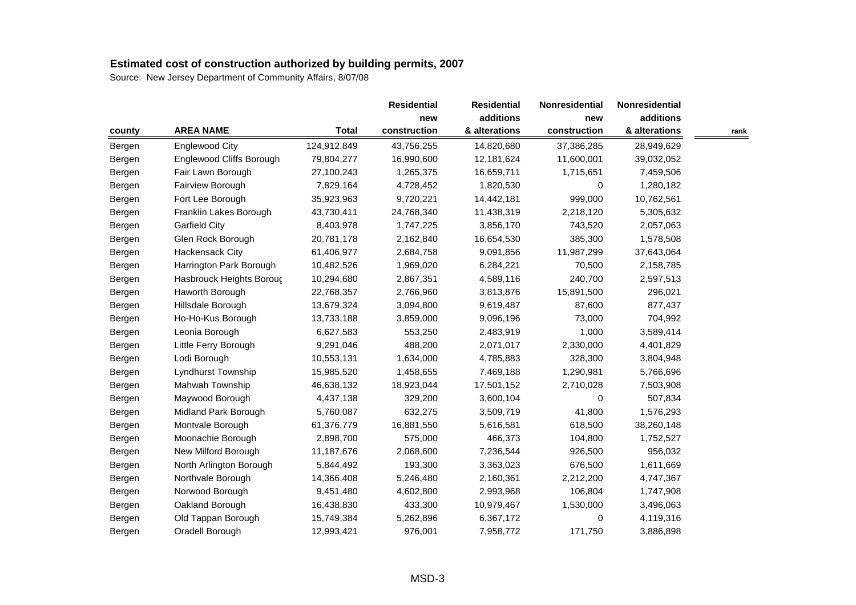|        |                          |              | <b>Residential</b> | <b>Residential</b> | Nonresidential | Nonresidential |      |
|--------|--------------------------|--------------|--------------------|--------------------|----------------|----------------|------|
|        |                          |              | new                | additions          | new            | additions      |      |
| county | <b>AREA NAME</b>         | <b>Total</b> | construction       | & alterations      | construction   | & alterations  | rank |
| Bergen | Englewood City           | 124,912,849  | 43,756,255         | 14,820,680         | 37,386,285     | 28,949,629     |      |
| Bergen | Englewood Cliffs Borough | 79,804,277   | 16,990,600         | 12,181,624         | 11,600,001     | 39,032,052     |      |
| Bergen | Fair Lawn Borough        | 27,100,243   | 1,265,375          | 16,659,711         | 1,715,651      | 7,459,506      |      |
| Bergen | Fairview Borough         | 7,829,164    | 4,728,452          | 1,820,530          | 0              | 1,280,182      |      |
| Bergen | Fort Lee Borough         | 35,923,963   | 9,720,221          | 14,442,181         | 999,000        | 10,762,561     |      |
| Bergen | Franklin Lakes Borough   | 43,730,411   | 24,768,340         | 11,438,319         | 2,218,120      | 5,305,632      |      |
| Bergen | <b>Garfield City</b>     | 8,403,978    | 1,747,225          | 3,856,170          | 743,520        | 2,057,063      |      |
| Bergen | Glen Rock Borough        | 20,781,178   | 2,162,840          | 16,654,530         | 385,300        | 1,578,508      |      |
| Bergen | Hackensack City          | 61,406,977   | 2,684,758          | 9,091,856          | 11,987,299     | 37,643,064     |      |
| Bergen | Harrington Park Borough  | 10,482,526   | 1,969,020          | 6,284,221          | 70,500         | 2,158,785      |      |
| Bergen | Hasbrouck Heights Borouç | 10,294,680   | 2,867,351          | 4,589,116          | 240,700        | 2,597,513      |      |
| Bergen | Haworth Borough          | 22,768,357   | 2,766,960          | 3,813,876          | 15,891,500     | 296,021        |      |
| Bergen | Hillsdale Borough        | 13,679,324   | 3,094,800          | 9,619,487          | 87,600         | 877,437        |      |
| Bergen | Ho-Ho-Kus Borough        | 13,733,188   | 3,859,000          | 9,096,196          | 73,000         | 704,992        |      |
| Bergen | Leonia Borough           | 6,627,583    | 553,250            | 2,483,919          | 1,000          | 3,589,414      |      |
| Bergen | Little Ferry Borough     | 9,291,046    | 488,200            | 2,071,017          | 2,330,000      | 4,401,829      |      |
| Bergen | Lodi Borough             | 10,553,131   | 1,634,000          | 4,785,883          | 328,300        | 3,804,948      |      |
| Bergen | Lyndhurst Township       | 15,985,520   | 1,458,655          | 7,469,188          | 1,290,981      | 5,766,696      |      |
| Bergen | Mahwah Township          | 46,638,132   | 18,923,044         | 17,501,152         | 2,710,028      | 7,503,908      |      |
| Bergen | Maywood Borough          | 4,437,138    | 329,200            | 3,600,104          | 0              | 507,834        |      |
| Bergen | Midland Park Borough     | 5,760,087    | 632,275            | 3,509,719          | 41,800         | 1,576,293      |      |
| Bergen | Montvale Borough         | 61,376,779   | 16,881,550         | 5,616,581          | 618,500        | 38,260,148     |      |
| Bergen | Moonachie Borough        | 2,898,700    | 575,000            | 466,373            | 104,800        | 1,752,527      |      |
| Bergen | New Milford Borough      | 11,187,676   | 2,068,600          | 7,236,544          | 926,500        | 956,032        |      |
| Bergen | North Arlington Borough  | 5,844,492    | 193,300            | 3,363,023          | 676,500        | 1,611,669      |      |
| Bergen | Northvale Borough        | 14,366,408   | 5,246,480          | 2,160,361          | 2,212,200      | 4,747,367      |      |
| Bergen | Norwood Borough          | 9,451,480    | 4,602,800          | 2,993,968          | 106,804        | 1,747,908      |      |
| Bergen | Oakland Borough          | 16,438,830   | 433,300            | 10,979,467         | 1,530,000      | 3,496,063      |      |
| Bergen | Old Tappan Borough       | 15,749,384   | 5,262,896          | 6,367,172          | 0              | 4,119,316      |      |
| Bergen | Oradell Borough          | 12,993,421   | 976,001            | 7,958,772          | 171,750        | 3,886,898      |      |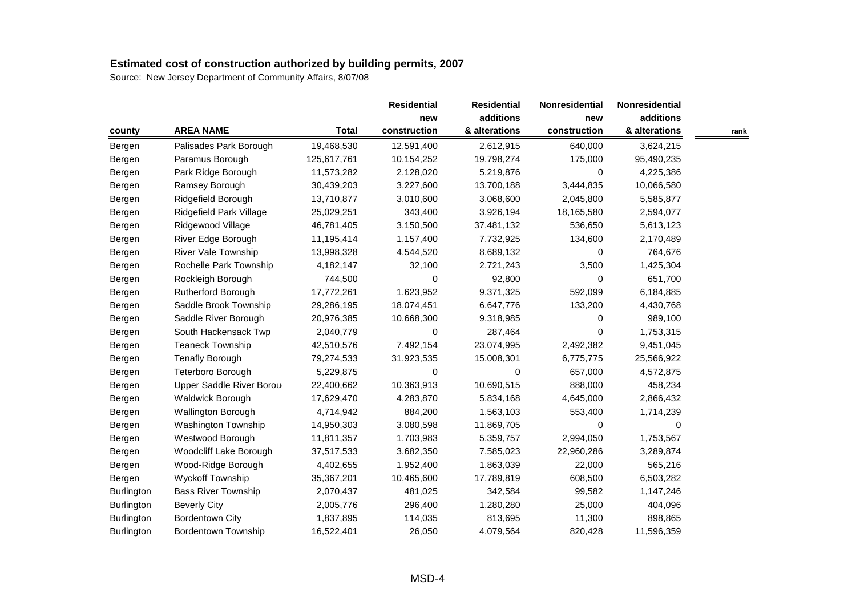|                   |                            |              | <b>Residential</b> | <b>Residential</b> | Nonresidential | Nonresidential |      |
|-------------------|----------------------------|--------------|--------------------|--------------------|----------------|----------------|------|
|                   |                            |              | new                | additions          | new            | additions      |      |
| county            | <b>AREA NAME</b>           | <b>Total</b> | construction       | & alterations      | construction   | & alterations  | rank |
| Bergen            | Palisades Park Borough     | 19,468,530   | 12,591,400         | 2,612,915          | 640,000        | 3,624,215      |      |
| Bergen            | Paramus Borough            | 125,617,761  | 10,154,252         | 19,798,274         | 175,000        | 95,490,235     |      |
| Bergen            | Park Ridge Borough         | 11,573,282   | 2,128,020          | 5,219,876          | 0              | 4,225,386      |      |
| Bergen            | Ramsey Borough             | 30,439,203   | 3,227,600          | 13,700,188         | 3,444,835      | 10,066,580     |      |
| Bergen            | Ridgefield Borough         | 13,710,877   | 3,010,600          | 3,068,600          | 2,045,800      | 5,585,877      |      |
| Bergen            | Ridgefield Park Village    | 25,029,251   | 343,400            | 3,926,194          | 18,165,580     | 2,594,077      |      |
| Bergen            | Ridgewood Village          | 46,781,405   | 3,150,500          | 37,481,132         | 536,650        | 5,613,123      |      |
| Bergen            | River Edge Borough         | 11,195,414   | 1,157,400          | 7,732,925          | 134,600        | 2,170,489      |      |
| Bergen            | <b>River Vale Township</b> | 13,998,328   | 4,544,520          | 8,689,132          | 0              | 764,676        |      |
| Bergen            | Rochelle Park Township     | 4,182,147    | 32,100             | 2,721,243          | 3,500          | 1,425,304      |      |
| Bergen            | Rockleigh Borough          | 744,500      | 0                  | 92,800             | 0              | 651,700        |      |
| Bergen            | Rutherford Borough         | 17,772,261   | 1,623,952          | 9,371,325          | 592,099        | 6,184,885      |      |
| Bergen            | Saddle Brook Township      | 29,286,195   | 18,074,451         | 6,647,776          | 133,200        | 4,430,768      |      |
| Bergen            | Saddle River Borough       | 20,976,385   | 10,668,300         | 9,318,985          | 0              | 989,100        |      |
| Bergen            | South Hackensack Twp       | 2,040,779    | 0                  | 287,464            | 0              | 1,753,315      |      |
| Bergen            | <b>Teaneck Township</b>    | 42,510,576   | 7,492,154          | 23,074,995         | 2,492,382      | 9,451,045      |      |
| Bergen            | <b>Tenafly Borough</b>     | 79,274,533   | 31,923,535         | 15,008,301         | 6,775,775      | 25,566,922     |      |
| Bergen            | Teterboro Borough          | 5,229,875    | $\Omega$           | $\Omega$           | 657,000        | 4,572,875      |      |
| Bergen            | Upper Saddle River Borou   | 22,400,662   | 10,363,913         | 10,690,515         | 888,000        | 458,234        |      |
| Bergen            | Waldwick Borough           | 17,629,470   | 4,283,870          | 5,834,168          | 4,645,000      | 2,866,432      |      |
| Bergen            | <b>Wallington Borough</b>  | 4,714,942    | 884,200            | 1,563,103          | 553,400        | 1,714,239      |      |
| Bergen            | Washington Township        | 14,950,303   | 3,080,598          | 11,869,705         | 0              | 0              |      |
| Bergen            | Westwood Borough           | 11,811,357   | 1,703,983          | 5,359,757          | 2,994,050      | 1,753,567      |      |
| Bergen            | Woodcliff Lake Borough     | 37,517,533   | 3,682,350          | 7,585,023          | 22,960,286     | 3,289,874      |      |
| Bergen            | Wood-Ridge Borough         | 4,402,655    | 1,952,400          | 1,863,039          | 22,000         | 565,216        |      |
| Bergen            | Wyckoff Township           | 35,367,201   | 10,465,600         | 17,789,819         | 608,500        | 6,503,282      |      |
| Burlington        | <b>Bass River Township</b> | 2,070,437    | 481,025            | 342,584            | 99,582         | 1,147,246      |      |
| <b>Burlington</b> | <b>Beverly City</b>        | 2,005,776    | 296,400            | 1,280,280          | 25,000         | 404,096        |      |
| Burlington        | <b>Bordentown City</b>     | 1,837,895    | 114,035            | 813,695            | 11,300         | 898,865        |      |
| <b>Burlington</b> | Bordentown Township        | 16,522,401   | 26,050             | 4,079,564          | 820,428        | 11,596,359     |      |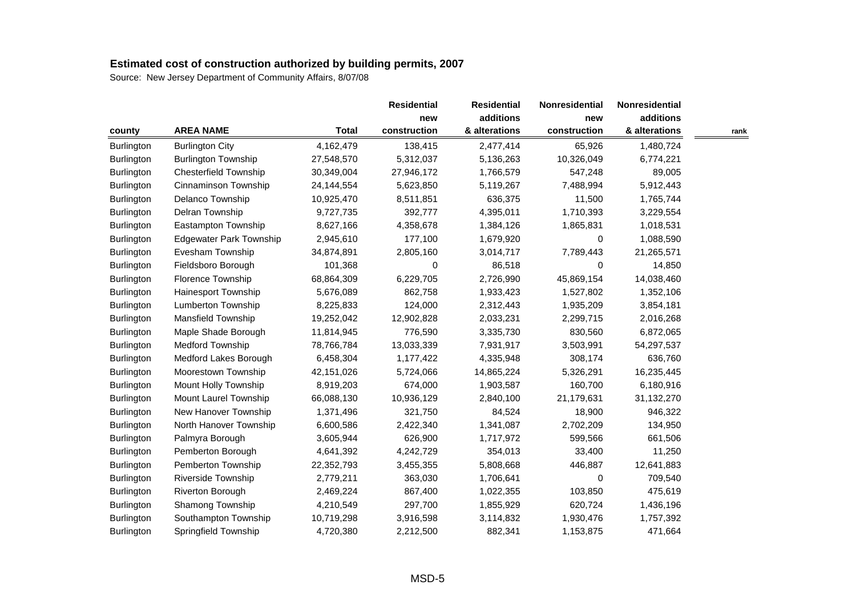|                   |                                |              | <b>Residential</b> | <b>Residential</b> | Nonresidential | Nonresidential |      |
|-------------------|--------------------------------|--------------|--------------------|--------------------|----------------|----------------|------|
|                   |                                |              | new                | additions          | new            | additions      |      |
| county            | <b>AREA NAME</b>               | <b>Total</b> | construction       | & alterations      | construction   | & alterations  | rank |
| Burlington        | <b>Burlington City</b>         | 4,162,479    | 138,415            | 2,477,414          | 65,926         | 1,480,724      |      |
| Burlington        | <b>Burlington Township</b>     | 27,548,570   | 5,312,037          | 5,136,263          | 10,326,049     | 6,774,221      |      |
| Burlington        | <b>Chesterfield Township</b>   | 30,349,004   | 27,946,172         | 1,766,579          | 547,248        | 89,005         |      |
| Burlington        | Cinnaminson Township           | 24,144,554   | 5,623,850          | 5,119,267          | 7,488,994      | 5,912,443      |      |
| Burlington        | Delanco Township               | 10,925,470   | 8,511,851          | 636,375            | 11,500         | 1,765,744      |      |
| Burlington        | Delran Township                | 9,727,735    | 392,777            | 4,395,011          | 1,710,393      | 3,229,554      |      |
| Burlington        | Eastampton Township            | 8,627,166    | 4,358,678          | 1,384,126          | 1,865,831      | 1,018,531      |      |
| Burlington        | <b>Edgewater Park Township</b> | 2,945,610    | 177,100            | 1,679,920          | 0              | 1,088,590      |      |
| Burlington        | Evesham Township               | 34,874,891   | 2,805,160          | 3,014,717          | 7,789,443      | 21,265,571     |      |
| <b>Burlington</b> | Fieldsboro Borough             | 101,368      | 0                  | 86,518             | 0              | 14,850         |      |
| Burlington        | Florence Township              | 68,864,309   | 6,229,705          | 2,726,990          | 45,869,154     | 14,038,460     |      |
| Burlington        | Hainesport Township            | 5,676,089    | 862,758            | 1,933,423          | 1,527,802      | 1,352,106      |      |
| Burlington        | Lumberton Township             | 8,225,833    | 124,000            | 2,312,443          | 1,935,209      | 3,854,181      |      |
| Burlington        | Mansfield Township             | 19,252,042   | 12,902,828         | 2,033,231          | 2,299,715      | 2,016,268      |      |
| Burlington        | Maple Shade Borough            | 11,814,945   | 776,590            | 3,335,730          | 830,560        | 6,872,065      |      |
| Burlington        | <b>Medford Township</b>        | 78,766,784   | 13,033,339         | 7,931,917          | 3,503,991      | 54,297,537     |      |
| Burlington        | Medford Lakes Borough          | 6,458,304    | 1,177,422          | 4,335,948          | 308,174        | 636,760        |      |
| Burlington        | Moorestown Township            | 42, 151, 026 | 5,724,066          | 14,865,224         | 5,326,291      | 16,235,445     |      |
| Burlington        | Mount Holly Township           | 8,919,203    | 674,000            | 1,903,587          | 160,700        | 6,180,916      |      |
| Burlington        | Mount Laurel Township          | 66,088,130   | 10,936,129         | 2,840,100          | 21,179,631     | 31,132,270     |      |
| Burlington        | New Hanover Township           | 1,371,496    | 321,750            | 84,524             | 18,900         | 946,322        |      |
| Burlington        | North Hanover Township         | 6,600,586    | 2,422,340          | 1,341,087          | 2,702,209      | 134,950        |      |
| <b>Burlington</b> | Palmyra Borough                | 3,605,944    | 626,900            | 1,717,972          | 599,566        | 661,506        |      |
| Burlington        | Pemberton Borough              | 4,641,392    | 4,242,729          | 354,013            | 33,400         | 11,250         |      |
| Burlington        | Pemberton Township             | 22,352,793   | 3,455,355          | 5,808,668          | 446,887        | 12,641,883     |      |
| Burlington        | Riverside Township             | 2,779,211    | 363,030            | 1,706,641          | 0              | 709,540        |      |
| Burlington        | Riverton Borough               | 2,469,224    | 867,400            | 1,022,355          | 103,850        | 475,619        |      |
| <b>Burlington</b> | Shamong Township               | 4,210,549    | 297,700            | 1,855,929          | 620,724        | 1,436,196      |      |
| Burlington        | Southampton Township           | 10,719,298   | 3,916,598          | 3,114,832          | 1,930,476      | 1,757,392      |      |
| Burlington        | Springfield Township           | 4,720,380    | 2,212,500          | 882,341            | 1,153,875      | 471,664        |      |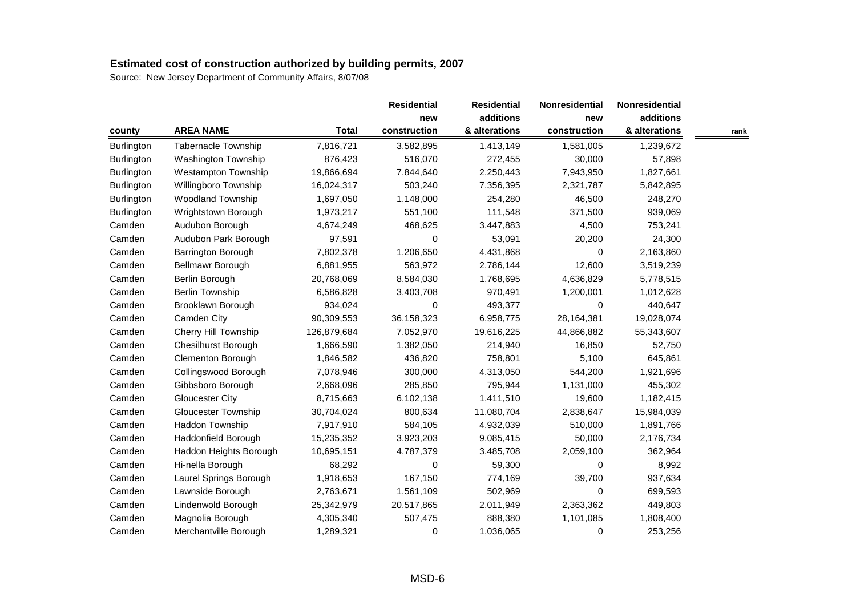|            |                            |              | <b>Residential</b> | <b>Residential</b> | Nonresidential | Nonresidential |      |
|------------|----------------------------|--------------|--------------------|--------------------|----------------|----------------|------|
|            |                            |              | new                | additions          | new            | additions      |      |
| county     | <b>AREA NAME</b>           | <b>Total</b> | construction       | & alterations      | construction   | & alterations  | rank |
| Burlington | Tabernacle Township        | 7,816,721    | 3,582,895          | 1,413,149          | 1,581,005      | 1,239,672      |      |
| Burlington | Washington Township        | 876,423      | 516,070            | 272,455            | 30,000         | 57,898         |      |
| Burlington | <b>Westampton Township</b> | 19,866,694   | 7,844,640          | 2,250,443          | 7,943,950      | 1,827,661      |      |
| Burlington | Willingboro Township       | 16,024,317   | 503,240            | 7,356,395          | 2,321,787      | 5,842,895      |      |
| Burlington | <b>Woodland Township</b>   | 1,697,050    | 1,148,000          | 254,280            | 46,500         | 248,270        |      |
| Burlington | Wrightstown Borough        | 1,973,217    | 551,100            | 111,548            | 371,500        | 939,069        |      |
| Camden     | Audubon Borough            | 4,674,249    | 468,625            | 3,447,883          | 4,500          | 753,241        |      |
| Camden     | Audubon Park Borough       | 97,591       | 0                  | 53,091             | 20,200         | 24,300         |      |
| Camden     | Barrington Borough         | 7,802,378    | 1,206,650          | 4,431,868          | 0              | 2,163,860      |      |
| Camden     | Bellmawr Borough           | 6,881,955    | 563,972            | 2,786,144          | 12,600         | 3,519,239      |      |
| Camden     | Berlin Borough             | 20,768,069   | 8,584,030          | 1,768,695          | 4,636,829      | 5,778,515      |      |
| Camden     | Berlin Township            | 6,586,828    | 3,403,708          | 970,491            | 1,200,001      | 1,012,628      |      |
| Camden     | Brooklawn Borough          | 934,024      | 0                  | 493,377            | 0              | 440,647        |      |
| Camden     | Camden City                | 90,309,553   | 36,158,323         | 6,958,775          | 28,164,381     | 19,028,074     |      |
| Camden     | Cherry Hill Township       | 126,879,684  | 7,052,970          | 19,616,225         | 44,866,882     | 55,343,607     |      |
| Camden     | Chesilhurst Borough        | 1,666,590    | 1,382,050          | 214,940            | 16,850         | 52,750         |      |
| Camden     | <b>Clementon Borough</b>   | 1,846,582    | 436,820            | 758,801            | 5,100          | 645,861        |      |
| Camden     | Collingswood Borough       | 7,078,946    | 300,000            | 4,313,050          | 544,200        | 1,921,696      |      |
| Camden     | Gibbsboro Borough          | 2,668,096    | 285,850            | 795,944            | 1,131,000      | 455,302        |      |
| Camden     | Gloucester City            | 8,715,663    | 6,102,138          | 1,411,510          | 19,600         | 1,182,415      |      |
| Camden     | <b>Gloucester Township</b> | 30,704,024   | 800,634            | 11,080,704         | 2,838,647      | 15,984,039     |      |
| Camden     | Haddon Township            | 7,917,910    | 584,105            | 4,932,039          | 510,000        | 1,891,766      |      |
| Camden     | Haddonfield Borough        | 15,235,352   | 3,923,203          | 9,085,415          | 50,000         | 2,176,734      |      |
| Camden     | Haddon Heights Borough     | 10,695,151   | 4,787,379          | 3,485,708          | 2,059,100      | 362,964        |      |
| Camden     | Hi-nella Borough           | 68,292       | 0                  | 59,300             | 0              | 8,992          |      |
| Camden     | Laurel Springs Borough     | 1,918,653    | 167,150            | 774,169            | 39,700         | 937,634        |      |
| Camden     | Lawnside Borough           | 2,763,671    | 1,561,109          | 502,969            | 0              | 699,593        |      |
| Camden     | Lindenwold Borough         | 25,342,979   | 20,517,865         | 2,011,949          | 2,363,362      | 449,803        |      |
| Camden     | Magnolia Borough           | 4,305,340    | 507,475            | 888,380            | 1,101,085      | 1,808,400      |      |
| Camden     | Merchantville Borough      | 1,289,321    | 0                  | 1,036,065          | 0              | 253,256        |      |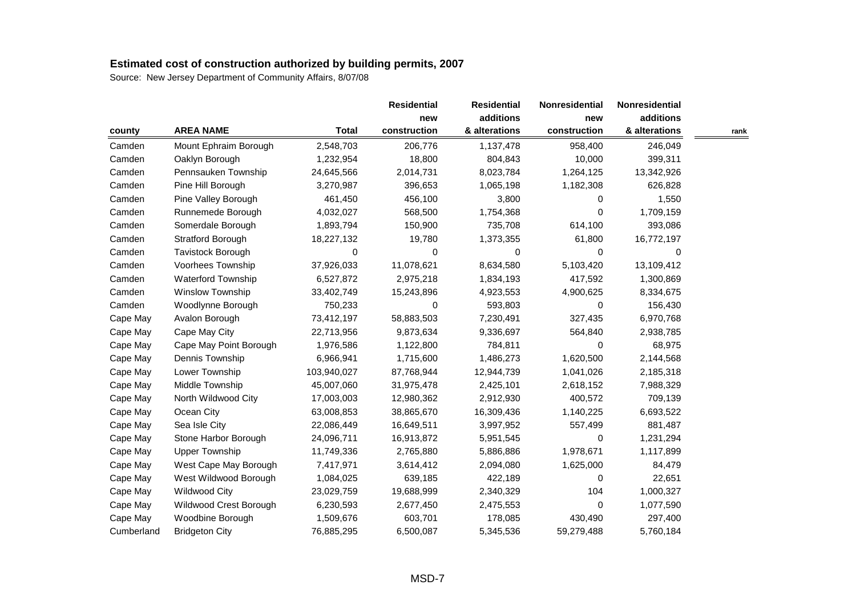|            |                        |              | <b>Residential</b> | <b>Residential</b> | Nonresidential | Nonresidential |      |
|------------|------------------------|--------------|--------------------|--------------------|----------------|----------------|------|
|            |                        |              | new                | additions          | new            | additions      |      |
| county     | <b>AREA NAME</b>       | <b>Total</b> | construction       | & alterations      | construction   | & alterations  | rank |
| Camden     | Mount Ephraim Borough  | 2,548,703    | 206,776            | 1,137,478          | 958,400        | 246,049        |      |
| Camden     | Oaklyn Borough         | 1,232,954    | 18,800             | 804,843            | 10,000         | 399,311        |      |
| Camden     | Pennsauken Township    | 24,645,566   | 2,014,731          | 8,023,784          | 1,264,125      | 13,342,926     |      |
| Camden     | Pine Hill Borough      | 3,270,987    | 396,653            | 1,065,198          | 1,182,308      | 626,828        |      |
| Camden     | Pine Valley Borough    | 461,450      | 456,100            | 3,800              | 0              | 1,550          |      |
| Camden     | Runnemede Borough      | 4,032,027    | 568,500            | 1,754,368          | 0              | 1,709,159      |      |
| Camden     | Somerdale Borough      | 1,893,794    | 150,900            | 735,708            | 614,100        | 393,086        |      |
| Camden     | Stratford Borough      | 18,227,132   | 19,780             | 1,373,355          | 61,800         | 16,772,197     |      |
| Camden     | Tavistock Borough      | 0            | 0                  | 0                  | 0              | 0              |      |
| Camden     | Voorhees Township      | 37,926,033   | 11,078,621         | 8,634,580          | 5,103,420      | 13,109,412     |      |
| Camden     | Waterford Township     | 6,527,872    | 2,975,218          | 1,834,193          | 417,592        | 1,300,869      |      |
| Camden     | Winslow Township       | 33,402,749   | 15,243,896         | 4,923,553          | 4,900,625      | 8,334,675      |      |
| Camden     | Woodlynne Borough      | 750,233      | 0                  | 593,803            | 0              | 156,430        |      |
| Cape May   | Avalon Borough         | 73,412,197   | 58,883,503         | 7,230,491          | 327,435        | 6,970,768      |      |
| Cape May   | Cape May City          | 22,713,956   | 9,873,634          | 9,336,697          | 564,840        | 2,938,785      |      |
| Cape May   | Cape May Point Borough | 1,976,586    | 1,122,800          | 784,811            | 0              | 68,975         |      |
| Cape May   | Dennis Township        | 6,966,941    | 1,715,600          | 1,486,273          | 1,620,500      | 2,144,568      |      |
| Cape May   | Lower Township         | 103,940,027  | 87,768,944         | 12,944,739         | 1,041,026      | 2,185,318      |      |
| Cape May   | Middle Township        | 45,007,060   | 31,975,478         | 2,425,101          | 2,618,152      | 7,988,329      |      |
| Cape May   | North Wildwood City    | 17,003,003   | 12,980,362         | 2,912,930          | 400,572        | 709,139        |      |
| Cape May   | Ocean City             | 63,008,853   | 38,865,670         | 16,309,436         | 1,140,225      | 6,693,522      |      |
| Cape May   | Sea Isle City          | 22,086,449   | 16,649,511         | 3,997,952          | 557,499        | 881,487        |      |
| Cape May   | Stone Harbor Borough   | 24,096,711   | 16,913,872         | 5,951,545          | 0              | 1,231,294      |      |
| Cape May   | <b>Upper Township</b>  | 11,749,336   | 2,765,880          | 5,886,886          | 1,978,671      | 1,117,899      |      |
| Cape May   | West Cape May Borough  | 7,417,971    | 3,614,412          | 2,094,080          | 1,625,000      | 84,479         |      |
| Cape May   | West Wildwood Borough  | 1,084,025    | 639,185            | 422,189            | 0              | 22,651         |      |
| Cape May   | <b>Wildwood City</b>   | 23,029,759   | 19,688,999         | 2,340,329          | 104            | 1,000,327      |      |
| Cape May   | Wildwood Crest Borough | 6,230,593    | 2,677,450          | 2,475,553          | 0              | 1,077,590      |      |
| Cape May   | Woodbine Borough       | 1,509,676    | 603,701            | 178,085            | 430,490        | 297,400        |      |
| Cumberland | <b>Bridgeton City</b>  | 76,885,295   | 6,500,087          | 5,345,536          | 59,279,488     | 5,760,184      |      |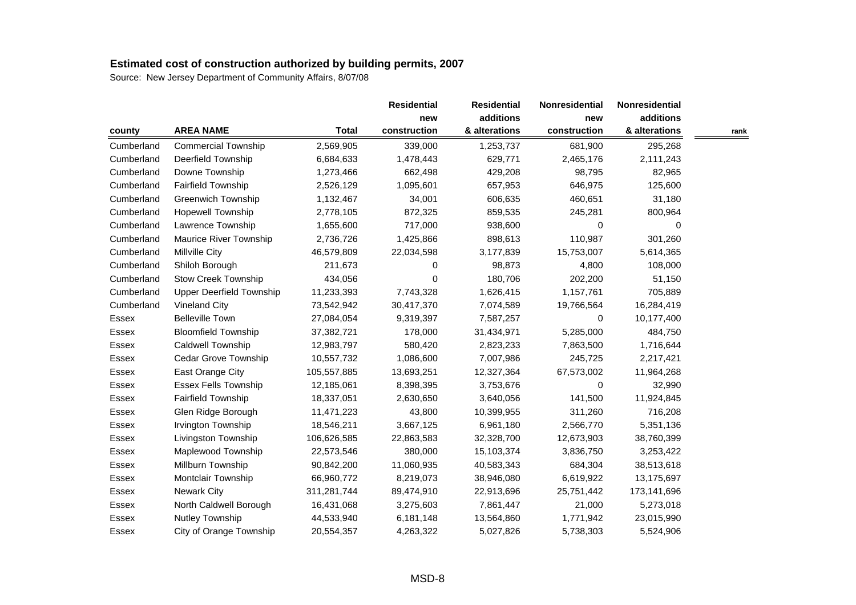|              |                            |              | <b>Residential</b> | <b>Residential</b> | Nonresidential | Nonresidential |      |
|--------------|----------------------------|--------------|--------------------|--------------------|----------------|----------------|------|
|              |                            |              | new                | additions          | new            | additions      |      |
| county       | <b>AREA NAME</b>           | <b>Total</b> | construction       | & alterations      | construction   | & alterations  | rank |
| Cumberland   | <b>Commercial Township</b> | 2,569,905    | 339,000            | 1,253,737          | 681,900        | 295,268        |      |
| Cumberland   | Deerfield Township         | 6,684,633    | 1,478,443          | 629,771            | 2,465,176      | 2,111,243      |      |
| Cumberland   | Downe Township             | 1,273,466    | 662,498            | 429,208            | 98,795         | 82,965         |      |
| Cumberland   | <b>Fairfield Township</b>  | 2,526,129    | 1,095,601          | 657,953            | 646,975        | 125,600        |      |
| Cumberland   | <b>Greenwich Township</b>  | 1,132,467    | 34,001             | 606,635            | 460,651        | 31,180         |      |
| Cumberland   | <b>Hopewell Township</b>   | 2,778,105    | 872,325            | 859,535            | 245,281        | 800,964        |      |
| Cumberland   | Lawrence Township          | 1,655,600    | 717,000            | 938,600            | 0              | 0              |      |
| Cumberland   | Maurice River Township     | 2,736,726    | 1,425,866          | 898,613            | 110,987        | 301,260        |      |
| Cumberland   | Millville City             | 46,579,809   | 22,034,598         | 3,177,839          | 15,753,007     | 5,614,365      |      |
| Cumberland   | Shiloh Borough             | 211,673      | 0                  | 98,873             | 4,800          | 108,000        |      |
| Cumberland   | <b>Stow Creek Township</b> | 434,056      | 0                  | 180,706            | 202,200        | 51,150         |      |
| Cumberland   | Upper Deerfield Township   | 11,233,393   | 7,743,328          | 1,626,415          | 1,157,761      | 705,889        |      |
| Cumberland   | <b>Vineland City</b>       | 73,542,942   | 30,417,370         | 7,074,589          | 19,766,564     | 16,284,419     |      |
| Essex        | <b>Belleville Town</b>     | 27,084,054   | 9,319,397          | 7,587,257          | 0              | 10,177,400     |      |
| Essex        | <b>Bloomfield Township</b> | 37,382,721   | 178,000            | 31,434,971         | 5,285,000      | 484,750        |      |
| Essex        | Caldwell Township          | 12,983,797   | 580,420            | 2,823,233          | 7,863,500      | 1,716,644      |      |
| Essex        | Cedar Grove Township       | 10,557,732   | 1,086,600          | 7,007,986          | 245,725        | 2,217,421      |      |
| Essex        | East Orange City           | 105,557,885  | 13,693,251         | 12,327,364         | 67,573,002     | 11,964,268     |      |
| Essex        | Essex Fells Township       | 12,185,061   | 8,398,395          | 3,753,676          | 0              | 32,990         |      |
| Essex        | <b>Fairfield Township</b>  | 18,337,051   | 2,630,650          | 3,640,056          | 141,500        | 11,924,845     |      |
| Essex        | Glen Ridge Borough         | 11,471,223   | 43,800             | 10,399,955         | 311,260        | 716,208        |      |
| Essex        | Irvington Township         | 18,546,211   | 3,667,125          | 6,961,180          | 2,566,770      | 5,351,136      |      |
| Essex        | Livingston Township        | 106,626,585  | 22,863,583         | 32,328,700         | 12,673,903     | 38,760,399     |      |
| Essex        | Maplewood Township         | 22,573,546   | 380,000            | 15,103,374         | 3,836,750      | 3,253,422      |      |
| Essex        | Millburn Township          | 90,842,200   | 11,060,935         | 40,583,343         | 684,304        | 38,513,618     |      |
| Essex        | Montclair Township         | 66,960,772   | 8,219,073          | 38,946,080         | 6,619,922      | 13,175,697     |      |
| Essex        | <b>Newark City</b>         | 311,281,744  | 89,474,910         | 22,913,696         | 25,751,442     | 173,141,696    |      |
| Essex        | North Caldwell Borough     | 16,431,068   | 3,275,603          | 7,861,447          | 21,000         | 5,273,018      |      |
| <b>Essex</b> | Nutley Township            | 44,533,940   | 6,181,148          | 13,564,860         | 1,771,942      | 23,015,990     |      |
| Essex        | City of Orange Township    | 20,554,357   | 4,263,322          | 5,027,826          | 5,738,303      | 5,524,906      |      |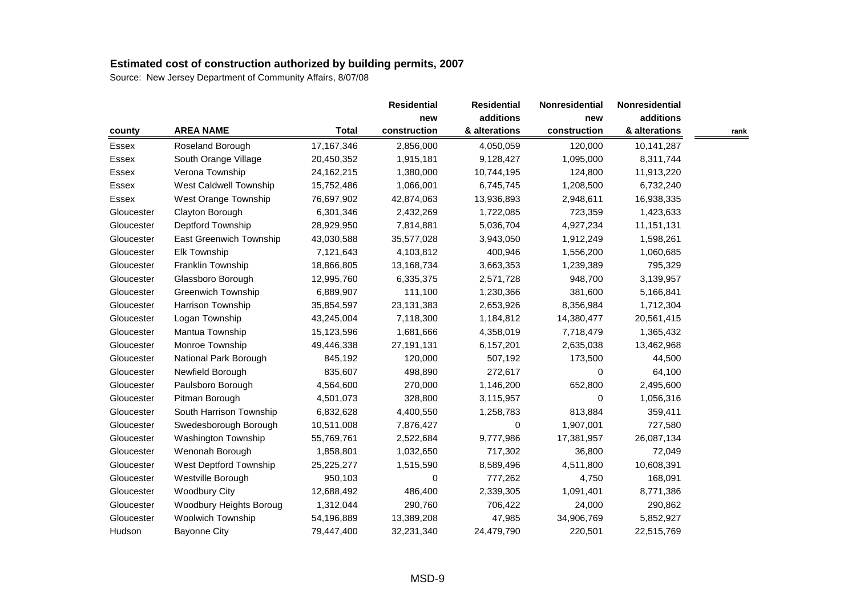|              |                           |              | <b>Residential</b> | <b>Residential</b> | <b>Nonresidential</b> | <b>Nonresidential</b> |      |
|--------------|---------------------------|--------------|--------------------|--------------------|-----------------------|-----------------------|------|
|              |                           |              | new                | additions          | new                   | additions             |      |
| county       | <b>AREA NAME</b>          | <b>Total</b> | construction       | & alterations      | construction          | & alterations         | rank |
| Essex        | Roseland Borough          | 17, 167, 346 | 2,856,000          | 4,050,059          | 120,000               | 10,141,287            |      |
| Essex        | South Orange Village      | 20,450,352   | 1,915,181          | 9,128,427          | 1,095,000             | 8,311,744             |      |
| <b>Essex</b> | Verona Township           | 24,162,215   | 1,380,000          | 10,744,195         | 124,800               | 11,913,220            |      |
| Essex        | West Caldwell Township    | 15,752,486   | 1,066,001          | 6,745,745          | 1,208,500             | 6,732,240             |      |
| Essex        | West Orange Township      | 76,697,902   | 42,874,063         | 13,936,893         | 2,948,611             | 16,938,335            |      |
| Gloucester   | Clayton Borough           | 6,301,346    | 2,432,269          | 1,722,085          | 723,359               | 1,423,633             |      |
| Gloucester   | Deptford Township         | 28,929,950   | 7,814,881          | 5,036,704          | 4,927,234             | 11, 151, 131          |      |
| Gloucester   | East Greenwich Township   | 43,030,588   | 35,577,028         | 3,943,050          | 1,912,249             | 1,598,261             |      |
| Gloucester   | <b>Elk Township</b>       | 7,121,643    | 4,103,812          | 400,946            | 1,556,200             | 1,060,685             |      |
| Gloucester   | Franklin Township         | 18,866,805   | 13,168,734         | 3,663,353          | 1,239,389             | 795,329               |      |
| Gloucester   | Glassboro Borough         | 12,995,760   | 6,335,375          | 2,571,728          | 948,700               | 3,139,957             |      |
| Gloucester   | <b>Greenwich Township</b> | 6,889,907    | 111,100            | 1,230,366          | 381,600               | 5,166,841             |      |
| Gloucester   | Harrison Township         | 35,854,597   | 23,131,383         | 2,653,926          | 8,356,984             | 1,712,304             |      |
| Gloucester   | Logan Township            | 43,245,004   | 7,118,300          | 1,184,812          | 14,380,477            | 20,561,415            |      |
| Gloucester   | Mantua Township           | 15,123,596   | 1,681,666          | 4,358,019          | 7,718,479             | 1,365,432             |      |
| Gloucester   | Monroe Township           | 49,446,338   | 27,191,131         | 6,157,201          | 2,635,038             | 13,462,968            |      |
| Gloucester   | National Park Borough     | 845,192      | 120,000            | 507,192            | 173,500               | 44,500                |      |
| Gloucester   | Newfield Borough          | 835,607      | 498,890            | 272,617            | 0                     | 64,100                |      |
| Gloucester   | Paulsboro Borough         | 4,564,600    | 270,000            | 1,146,200          | 652,800               | 2,495,600             |      |
| Gloucester   | Pitman Borough            | 4,501,073    | 328,800            | 3,115,957          | 0                     | 1,056,316             |      |
| Gloucester   | South Harrison Township   | 6,832,628    | 4,400,550          | 1,258,783          | 813,884               | 359,411               |      |
| Gloucester   | Swedesborough Borough     | 10,511,008   | 7,876,427          | 0                  | 1,907,001             | 727,580               |      |
| Gloucester   | Washington Township       | 55,769,761   | 2,522,684          | 9,777,986          | 17,381,957            | 26,087,134            |      |
| Gloucester   | Wenonah Borough           | 1,858,801    | 1,032,650          | 717,302            | 36,800                | 72,049                |      |
| Gloucester   | West Deptford Township    | 25,225,277   | 1,515,590          | 8,589,496          | 4,511,800             | 10,608,391            |      |
| Gloucester   | Westville Borough         | 950,103      | 0                  | 777,262            | 4,750                 | 168,091               |      |
| Gloucester   | <b>Woodbury City</b>      | 12,688,492   | 486,400            | 2,339,305          | 1,091,401             | 8,771,386             |      |
| Gloucester   | Woodbury Heights Boroug   | 1,312,044    | 290,760            | 706,422            | 24,000                | 290,862               |      |
| Gloucester   | <b>Woolwich Township</b>  | 54,196,889   | 13,389,208         | 47,985             | 34,906,769            | 5,852,927             |      |
| Hudson       | <b>Bayonne City</b>       | 79,447,400   | 32,231,340         | 24,479,790         | 220,501               | 22,515,769            |      |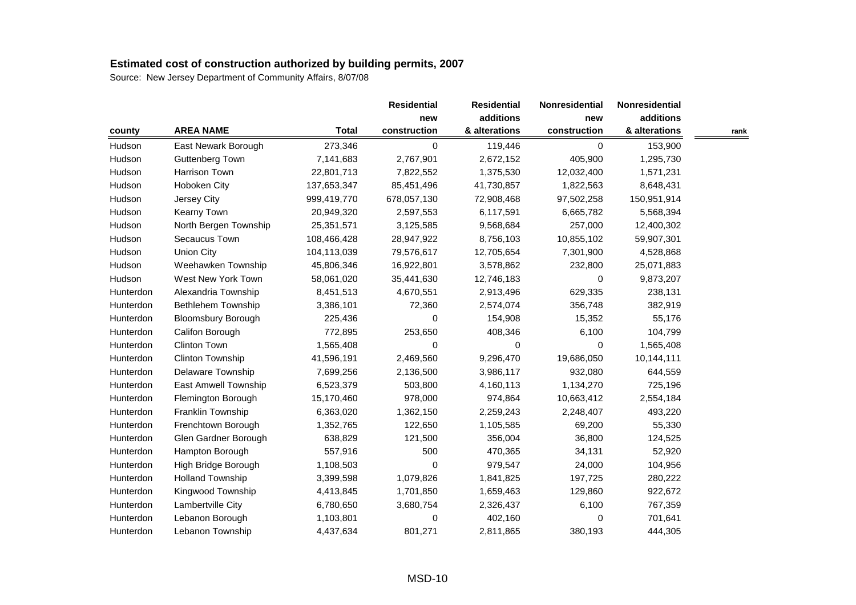|           |                           |              | <b>Residential</b> | <b>Residential</b> | <b>Nonresidential</b> | Nonresidential |      |
|-----------|---------------------------|--------------|--------------------|--------------------|-----------------------|----------------|------|
|           |                           |              | new                | additions          | new                   | additions      |      |
| county    | <b>AREA NAME</b>          | <b>Total</b> | construction       | & alterations      | construction          | & alterations  | rank |
| Hudson    | East Newark Borough       | 273,346      | 0                  | 119,446            | $\mathbf 0$           | 153,900        |      |
| Hudson    | Guttenberg Town           | 7,141,683    | 2,767,901          | 2,672,152          | 405,900               | 1,295,730      |      |
| Hudson    | Harrison Town             | 22,801,713   | 7,822,552          | 1,375,530          | 12,032,400            | 1,571,231      |      |
| Hudson    | Hoboken City              | 137,653,347  | 85,451,496         | 41,730,857         | 1,822,563             | 8,648,431      |      |
| Hudson    | Jersey City               | 999,419,770  | 678,057,130        | 72,908,468         | 97,502,258            | 150,951,914    |      |
| Hudson    | Kearny Town               | 20,949,320   | 2,597,553          | 6,117,591          | 6,665,782             | 5,568,394      |      |
| Hudson    | North Bergen Township     | 25,351,571   | 3,125,585          | 9,568,684          | 257,000               | 12,400,302     |      |
| Hudson    | Secaucus Town             | 108,466,428  | 28,947,922         | 8,756,103          | 10,855,102            | 59,907,301     |      |
| Hudson    | Union City                | 104,113,039  | 79,576,617         | 12,705,654         | 7,301,900             | 4,528,868      |      |
| Hudson    | Weehawken Township        | 45,806,346   | 16,922,801         | 3,578,862          | 232,800               | 25,071,883     |      |
| Hudson    | West New York Town        | 58,061,020   | 35,441,630         | 12,746,183         | 0                     | 9,873,207      |      |
| Hunterdon | Alexandria Township       | 8,451,513    | 4,670,551          | 2,913,496          | 629,335               | 238,131        |      |
| Hunterdon | Bethlehem Township        | 3,386,101    | 72,360             | 2,574,074          | 356,748               | 382,919        |      |
| Hunterdon | <b>Bloomsbury Borough</b> | 225,436      | 0                  | 154,908            | 15,352                | 55,176         |      |
| Hunterdon | Califon Borough           | 772,895      | 253,650            | 408,346            | 6,100                 | 104,799        |      |
| Hunterdon | <b>Clinton Town</b>       | 1,565,408    | 0                  | 0                  | 0                     | 1,565,408      |      |
| Hunterdon | Clinton Township          | 41,596,191   | 2,469,560          | 9,296,470          | 19,686,050            | 10,144,111     |      |
| Hunterdon | Delaware Township         | 7,699,256    | 2,136,500          | 3,986,117          | 932,080               | 644,559        |      |
| Hunterdon | East Amwell Township      | 6,523,379    | 503,800            | 4,160,113          | 1,134,270             | 725,196        |      |
| Hunterdon | Flemington Borough        | 15,170,460   | 978,000            | 974,864            | 10,663,412            | 2,554,184      |      |
| Hunterdon | Franklin Township         | 6,363,020    | 1,362,150          | 2,259,243          | 2,248,407             | 493,220        |      |
| Hunterdon | Frenchtown Borough        | 1,352,765    | 122,650            | 1,105,585          | 69,200                | 55,330         |      |
| Hunterdon | Glen Gardner Borough      | 638,829      | 121,500            | 356,004            | 36,800                | 124,525        |      |
| Hunterdon | Hampton Borough           | 557,916      | 500                | 470,365            | 34,131                | 52,920         |      |
| Hunterdon | High Bridge Borough       | 1,108,503    | 0                  | 979,547            | 24,000                | 104,956        |      |
| Hunterdon | <b>Holland Township</b>   | 3,399,598    | 1,079,826          | 1,841,825          | 197,725               | 280,222        |      |
| Hunterdon | Kingwood Township         | 4,413,845    | 1,701,850          | 1,659,463          | 129,860               | 922,672        |      |
| Hunterdon | Lambertville City         | 6,780,650    | 3,680,754          | 2,326,437          | 6,100                 | 767,359        |      |
| Hunterdon | Lebanon Borough           | 1,103,801    | 0                  | 402,160            | 0                     | 701,641        |      |
| Hunterdon | Lebanon Township          | 4,437,634    | 801,271            | 2,811,865          | 380,193               | 444,305        |      |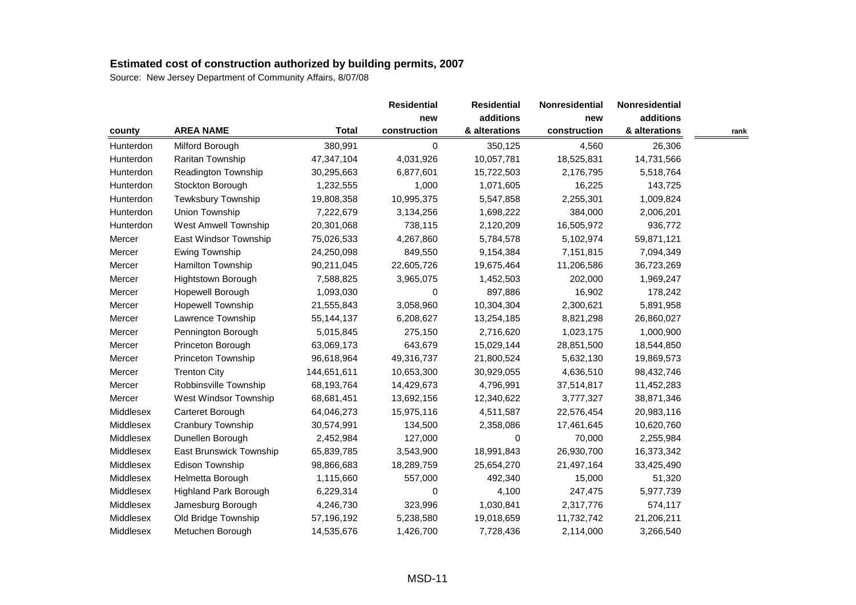|           |                              |              | <b>Residential</b> | <b>Residential</b> | <b>Nonresidential</b> | Nonresidential |      |
|-----------|------------------------------|--------------|--------------------|--------------------|-----------------------|----------------|------|
|           |                              |              | new                | additions          | new                   | additions      |      |
| county    | <b>AREA NAME</b>             | <b>Total</b> | construction       | & alterations      | construction          | & alterations  | rank |
| Hunterdon | Milford Borough              | 380,991      | 0                  | 350,125            | 4,560                 | 26,306         |      |
| Hunterdon | Raritan Township             | 47,347,104   | 4,031,926          | 10,057,781         | 18,525,831            | 14,731,566     |      |
| Hunterdon | Readington Township          | 30,295,663   | 6,877,601          | 15,722,503         | 2,176,795             | 5,518,764      |      |
| Hunterdon | Stockton Borough             | 1,232,555    | 1,000              | 1,071,605          | 16,225                | 143,725        |      |
| Hunterdon | Tewksbury Township           | 19,808,358   | 10,995,375         | 5,547,858          | 2,255,301             | 1,009,824      |      |
| Hunterdon | Union Township               | 7,222,679    | 3,134,256          | 1,698,222          | 384,000               | 2,006,201      |      |
| Hunterdon | <b>West Amwell Township</b>  | 20,301,068   | 738,115            | 2,120,209          | 16,505,972            | 936,772        |      |
| Mercer    | East Windsor Township        | 75,026,533   | 4,267,860          | 5,784,578          | 5,102,974             | 59,871,121     |      |
| Mercer    | Ewing Township               | 24,250,098   | 849,550            | 9,154,384          | 7,151,815             | 7,094,349      |      |
| Mercer    | Hamilton Township            | 90,211,045   | 22,605,726         | 19,675,464         | 11,206,586            | 36,723,269     |      |
| Mercer    | Hightstown Borough           | 7,588,825    | 3,965,075          | 1,452,503          | 202,000               | 1,969,247      |      |
| Mercer    | Hopewell Borough             | 1,093,030    | 0                  | 897,886            | 16,902                | 178,242        |      |
| Mercer    | Hopewell Township            | 21,555,843   | 3,058,960          | 10,304,304         | 2,300,621             | 5,891,958      |      |
| Mercer    | Lawrence Township            | 55,144,137   | 6,208,627          | 13,254,185         | 8,821,298             | 26,860,027     |      |
| Mercer    | Pennington Borough           | 5,015,845    | 275,150            | 2,716,620          | 1,023,175             | 1,000,900      |      |
| Mercer    | Princeton Borough            | 63,069,173   | 643,679            | 15,029,144         | 28,851,500            | 18,544,850     |      |
| Mercer    | Princeton Township           | 96,618,964   | 49,316,737         | 21,800,524         | 5,632,130             | 19,869,573     |      |
| Mercer    | <b>Trenton City</b>          | 144,651,611  | 10,653,300         | 30,929,055         | 4,636,510             | 98,432,746     |      |
| Mercer    | Robbinsville Township        | 68,193,764   | 14,429,673         | 4,796,991          | 37,514,817            | 11,452,283     |      |
| Mercer    | West Windsor Township        | 68,681,451   | 13,692,156         | 12,340,622         | 3,777,327             | 38,871,346     |      |
| Middlesex | Carteret Borough             | 64,046,273   | 15,975,116         | 4,511,587          | 22,576,454            | 20,983,116     |      |
| Middlesex | Cranbury Township            | 30,574,991   | 134,500            | 2,358,086          | 17,461,645            | 10,620,760     |      |
| Middlesex | Dunellen Borough             | 2,452,984    | 127,000            | 0                  | 70,000                | 2,255,984      |      |
| Middlesex | East Brunswick Township      | 65,839,785   | 3,543,900          | 18,991,843         | 26,930,700            | 16,373,342     |      |
| Middlesex | Edison Township              | 98,866,683   | 18,289,759         | 25,654,270         | 21,497,164            | 33,425,490     |      |
| Middlesex | Helmetta Borough             | 1,115,660    | 557,000            | 492,340            | 15,000                | 51,320         |      |
| Middlesex | <b>Highland Park Borough</b> | 6,229,314    | 0                  | 4,100              | 247,475               | 5,977,739      |      |
| Middlesex | Jamesburg Borough            | 4,246,730    | 323,996            | 1,030,841          | 2,317,776             | 574,117        |      |
| Middlesex | Old Bridge Township          | 57,196,192   | 5,238,580          | 19,018,659         | 11,732,742            | 21,206,211     |      |
| Middlesex | Metuchen Borough             | 14,535,676   | 1,426,700          | 7,728,436          | 2,114,000             | 3,266,540      |      |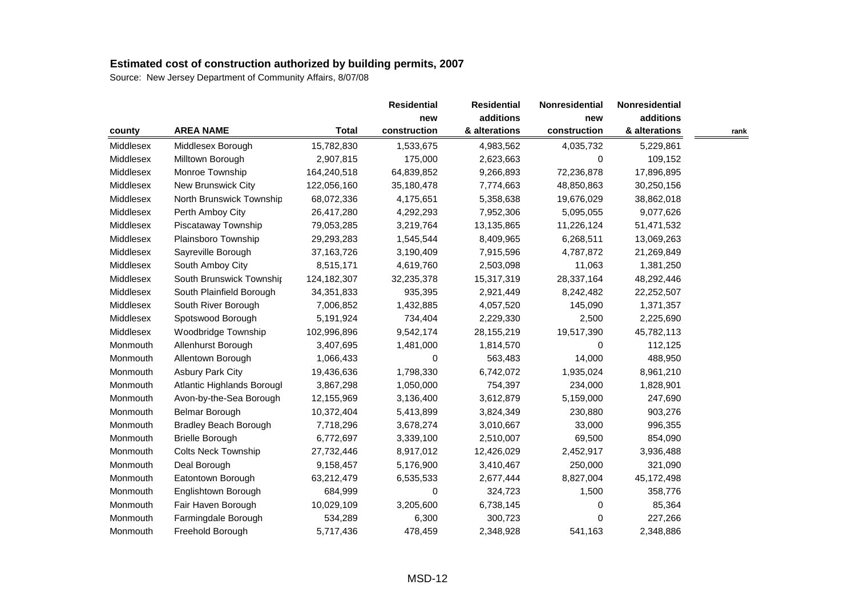|           |                                   |              | <b>Residential</b> | <b>Residential</b> | <b>Nonresidential</b> | <b>Nonresidential</b> |      |
|-----------|-----------------------------------|--------------|--------------------|--------------------|-----------------------|-----------------------|------|
|           |                                   |              | new                | additions          | new                   | additions             |      |
| county    | <b>AREA NAME</b>                  | <b>Total</b> | construction       | & alterations      | construction          | & alterations         | rank |
| Middlesex | Middlesex Borough                 | 15,782,830   | 1,533,675          | 4,983,562          | 4,035,732             | 5,229,861             |      |
| Middlesex | Milltown Borough                  | 2,907,815    | 175,000            | 2,623,663          | 0                     | 109,152               |      |
| Middlesex | Monroe Township                   | 164,240,518  | 64,839,852         | 9,266,893          | 72,236,878            | 17,896,895            |      |
| Middlesex | New Brunswick City                | 122,056,160  | 35,180,478         | 7,774,663          | 48,850,863            | 30,250,156            |      |
| Middlesex | North Brunswick Township          | 68,072,336   | 4,175,651          | 5,358,638          | 19,676,029            | 38,862,018            |      |
| Middlesex | Perth Amboy City                  | 26,417,280   | 4,292,293          | 7,952,306          | 5,095,055             | 9,077,626             |      |
| Middlesex | Piscataway Township               | 79,053,285   | 3,219,764          | 13,135,865         | 11,226,124            | 51,471,532            |      |
| Middlesex | Plainsboro Township               | 29,293,283   | 1,545,544          | 8,409,965          | 6,268,511             | 13,069,263            |      |
| Middlesex | Sayreville Borough                | 37, 163, 726 | 3,190,409          | 7,915,596          | 4,787,872             | 21,269,849            |      |
| Middlesex | South Amboy City                  | 8,515,171    | 4,619,760          | 2,503,098          | 11,063                | 1,381,250             |      |
| Middlesex | South Brunswick Township          | 124,182,307  | 32,235,378         | 15,317,319         | 28,337,164            | 48,292,446            |      |
| Middlesex | South Plainfield Borough          | 34, 351, 833 | 935,395            | 2,921,449          | 8,242,482             | 22,252,507            |      |
| Middlesex | South River Borough               | 7,006,852    | 1,432,885          | 4,057,520          | 145,090               | 1,371,357             |      |
| Middlesex | Spotswood Borough                 | 5,191,924    | 734,404            | 2,229,330          | 2,500                 | 2,225,690             |      |
| Middlesex | Woodbridge Township               | 102,996,896  | 9,542,174          | 28,155,219         | 19,517,390            | 45,782,113            |      |
| Monmouth  | Allenhurst Borough                | 3,407,695    | 1,481,000          | 1,814,570          | 0                     | 112,125               |      |
| Monmouth  | Allentown Borough                 | 1,066,433    | 0                  | 563,483            | 14,000                | 488,950               |      |
| Monmouth  | <b>Asbury Park City</b>           | 19,436,636   | 1,798,330          | 6,742,072          | 1,935,024             | 8,961,210             |      |
| Monmouth  | <b>Atlantic Highlands Borougl</b> | 3,867,298    | 1,050,000          | 754,397            | 234,000               | 1,828,901             |      |
| Monmouth  | Avon-by-the-Sea Borough           | 12,155,969   | 3,136,400          | 3,612,879          | 5,159,000             | 247,690               |      |
| Monmouth  | Belmar Borough                    | 10,372,404   | 5,413,899          | 3,824,349          | 230,880               | 903,276               |      |
| Monmouth  | <b>Bradley Beach Borough</b>      | 7,718,296    | 3,678,274          | 3,010,667          | 33,000                | 996,355               |      |
| Monmouth  | <b>Brielle Borough</b>            | 6,772,697    | 3,339,100          | 2,510,007          | 69,500                | 854,090               |      |
| Monmouth  | <b>Colts Neck Township</b>        | 27,732,446   | 8,917,012          | 12,426,029         | 2,452,917             | 3,936,488             |      |
| Monmouth  | Deal Borough                      | 9,158,457    | 5,176,900          | 3,410,467          | 250,000               | 321,090               |      |
| Monmouth  | Eatontown Borough                 | 63,212,479   | 6,535,533          | 2,677,444          | 8,827,004             | 45,172,498            |      |
| Monmouth  | Englishtown Borough               | 684,999      | 0                  | 324,723            | 1,500                 | 358,776               |      |
| Monmouth  | Fair Haven Borough                | 10,029,109   | 3,205,600          | 6,738,145          | 0                     | 85,364                |      |
| Monmouth  | Farmingdale Borough               | 534,289      | 6,300              | 300,723            | $\Omega$              | 227,266               |      |
| Monmouth  | Freehold Borough                  | 5,717,436    | 478,459            | 2,348,928          | 541,163               | 2,348,886             |      |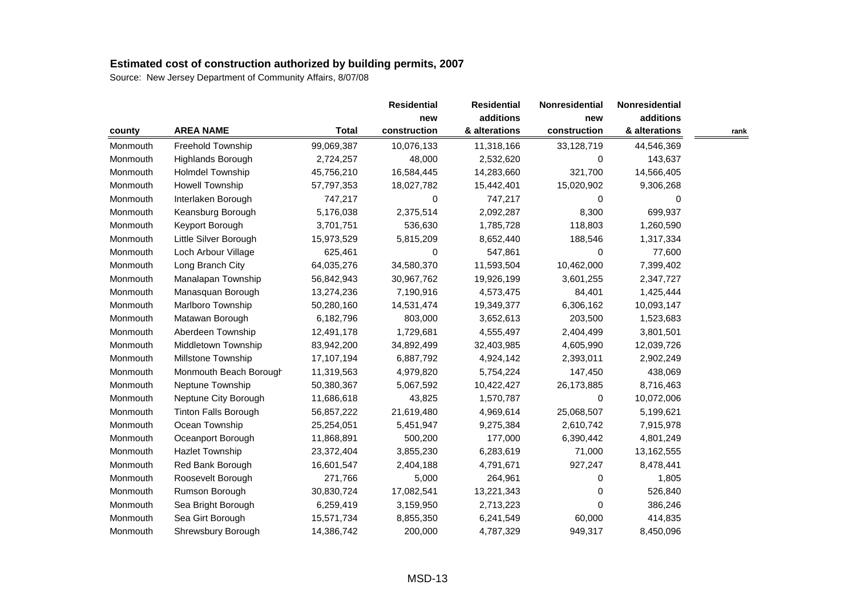| county   |                             |              |              | <b>Residential</b> | <b>Nonresidential</b> | <b>Nonresidential</b> |      |
|----------|-----------------------------|--------------|--------------|--------------------|-----------------------|-----------------------|------|
|          |                             |              | new          | additions          | new                   | additions             |      |
|          | <b>AREA NAME</b>            | <b>Total</b> | construction | & alterations      | construction          | & alterations         | rank |
| Monmouth | Freehold Township           | 99,069,387   | 10,076,133   | 11,318,166         | 33,128,719            | 44,546,369            |      |
| Monmouth | Highlands Borough           | 2,724,257    | 48,000       | 2,532,620          | 0                     | 143,637               |      |
| Monmouth | <b>Holmdel Township</b>     | 45,756,210   | 16,584,445   | 14,283,660         | 321,700               | 14,566,405            |      |
| Monmouth | <b>Howell Township</b>      | 57,797,353   | 18,027,782   | 15,442,401         | 15,020,902            | 9,306,268             |      |
| Monmouth | Interlaken Borough          | 747,217      | 0            | 747,217            | 0                     | 0                     |      |
| Monmouth | Keansburg Borough           | 5,176,038    | 2,375,514    | 2,092,287          | 8,300                 | 699,937               |      |
| Monmouth | Keyport Borough             | 3,701,751    | 536,630      | 1,785,728          | 118,803               | 1,260,590             |      |
| Monmouth | Little Silver Borough       | 15,973,529   | 5,815,209    | 8,652,440          | 188,546               | 1,317,334             |      |
| Monmouth | Loch Arbour Village         | 625,461      | 0            | 547,861            | 0                     | 77,600                |      |
| Monmouth | Long Branch City            | 64,035,276   | 34,580,370   | 11,593,504         | 10,462,000            | 7,399,402             |      |
| Monmouth | Manalapan Township          | 56,842,943   | 30,967,762   | 19,926,199         | 3,601,255             | 2,347,727             |      |
| Monmouth | Manasquan Borough           | 13,274,236   | 7,190,916    | 4,573,475          | 84,401                | 1,425,444             |      |
| Monmouth | Marlboro Township           | 50,280,160   | 14,531,474   | 19,349,377         | 6,306,162             | 10,093,147            |      |
| Monmouth | Matawan Borough             | 6,182,796    | 803,000      | 3,652,613          | 203,500               | 1,523,683             |      |
| Monmouth | Aberdeen Township           | 12,491,178   | 1,729,681    | 4,555,497          | 2,404,499             | 3,801,501             |      |
| Monmouth | Middletown Township         | 83,942,200   | 34,892,499   | 32,403,985         | 4,605,990             | 12,039,726            |      |
| Monmouth | Millstone Township          | 17,107,194   | 6,887,792    | 4,924,142          | 2,393,011             | 2,902,249             |      |
| Monmouth | Monmouth Beach Borough      | 11,319,563   | 4,979,820    | 5,754,224          | 147,450               | 438,069               |      |
| Monmouth | Neptune Township            | 50,380,367   | 5,067,592    | 10,422,427         | 26,173,885            | 8,716,463             |      |
| Monmouth | Neptune City Borough        | 11,686,618   | 43,825       | 1,570,787          | 0                     | 10,072,006            |      |
| Monmouth | <b>Tinton Falls Borough</b> | 56,857,222   | 21,619,480   | 4,969,614          | 25,068,507            | 5,199,621             |      |
| Monmouth | Ocean Township              | 25,254,051   | 5,451,947    | 9,275,384          | 2,610,742             | 7,915,978             |      |
| Monmouth | Oceanport Borough           | 11,868,891   | 500,200      | 177,000            | 6,390,442             | 4,801,249             |      |
| Monmouth | <b>Hazlet Township</b>      | 23,372,404   | 3,855,230    | 6,283,619          | 71,000                | 13,162,555            |      |
| Monmouth | Red Bank Borough            | 16,601,547   | 2,404,188    | 4,791,671          | 927,247               | 8,478,441             |      |
| Monmouth | Roosevelt Borough           | 271,766      | 5,000        | 264,961            | 0                     | 1,805                 |      |
| Monmouth | Rumson Borough              | 30,830,724   | 17,082,541   | 13,221,343         | 0                     | 526,840               |      |
| Monmouth | Sea Bright Borough          | 6,259,419    | 3,159,950    | 2,713,223          | 0                     | 386,246               |      |
| Monmouth | Sea Girt Borough            | 15,571,734   | 8,855,350    | 6,241,549          | 60,000                | 414,835               |      |
| Monmouth | Shrewsbury Borough          | 14,386,742   | 200,000      | 4,787,329          | 949,317               | 8,450,096             |      |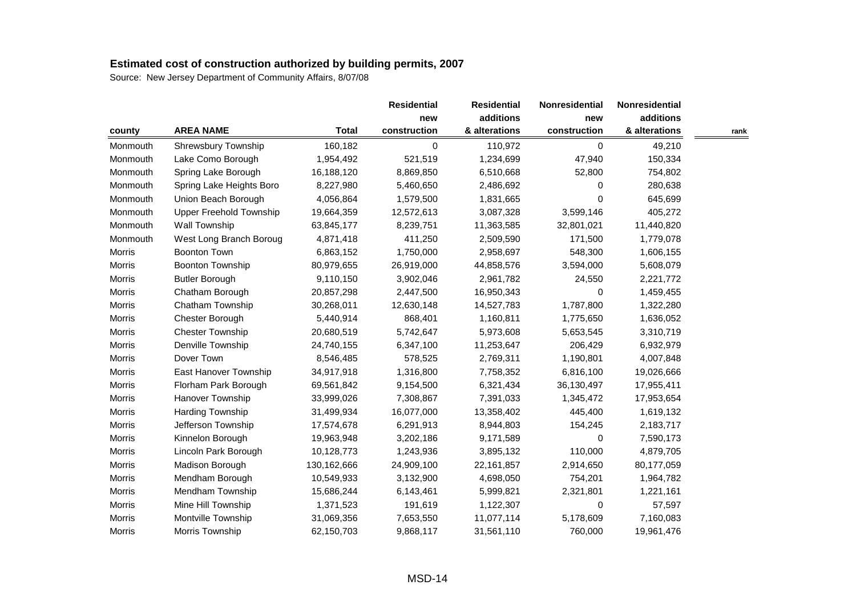| county        |                          |              |              | <b>Residential</b> | Nonresidential | Nonresidential |      |
|---------------|--------------------------|--------------|--------------|--------------------|----------------|----------------|------|
|               |                          |              | new          | additions          | new            | additions      |      |
|               | <b>AREA NAME</b>         | <b>Total</b> | construction | & alterations      | construction   | & alterations  | rank |
| Monmouth      | Shrewsbury Township      | 160,182      | 0            | 110,972            | 0              | 49,210         |      |
| Monmouth      | Lake Como Borough        | 1,954,492    | 521,519      | 1,234,699          | 47,940         | 150,334        |      |
| Monmouth      | Spring Lake Borough      | 16,188,120   | 8,869,850    | 6,510,668          | 52,800         | 754,802        |      |
| Monmouth      | Spring Lake Heights Boro | 8,227,980    | 5,460,650    | 2,486,692          | 0              | 280,638        |      |
| Monmouth      | Union Beach Borough      | 4,056,864    | 1,579,500    | 1,831,665          | 0              | 645,699        |      |
| Monmouth      | Upper Freehold Township  | 19,664,359   | 12,572,613   | 3,087,328          | 3,599,146      | 405,272        |      |
| Monmouth      | Wall Township            | 63,845,177   | 8,239,751    | 11,363,585         | 32,801,021     | 11,440,820     |      |
| Monmouth      | West Long Branch Boroug  | 4,871,418    | 411,250      | 2,509,590          | 171,500        | 1,779,078      |      |
| Morris        | <b>Boonton Town</b>      | 6,863,152    | 1,750,000    | 2,958,697          | 548,300        | 1,606,155      |      |
| Morris        | Boonton Township         | 80,979,655   | 26,919,000   | 44,858,576         | 3,594,000      | 5,608,079      |      |
| Morris        | <b>Butler Borough</b>    | 9,110,150    | 3,902,046    | 2,961,782          | 24,550         | 2,221,772      |      |
| <b>Morris</b> | Chatham Borough          | 20,857,298   | 2,447,500    | 16,950,343         | 0              | 1,459,455      |      |
| Morris        | Chatham Township         | 30,268,011   | 12,630,148   | 14,527,783         | 1,787,800      | 1,322,280      |      |
| <b>Morris</b> | Chester Borough          | 5,440,914    | 868,401      | 1,160,811          | 1,775,650      | 1,636,052      |      |
| Morris        | <b>Chester Township</b>  | 20,680,519   | 5,742,647    | 5,973,608          | 5,653,545      | 3,310,719      |      |
| Morris        | Denville Township        | 24,740,155   | 6,347,100    | 11,253,647         | 206,429        | 6,932,979      |      |
| Morris        | Dover Town               | 8,546,485    | 578,525      | 2,769,311          | 1,190,801      | 4,007,848      |      |
| Morris        | East Hanover Township    | 34,917,918   | 1,316,800    | 7,758,352          | 6,816,100      | 19,026,666     |      |
| Morris        | Florham Park Borough     | 69,561,842   | 9,154,500    | 6,321,434          | 36,130,497     | 17,955,411     |      |
| Morris        | Hanover Township         | 33,999,026   | 7,308,867    | 7,391,033          | 1,345,472      | 17,953,654     |      |
| Morris        | Harding Township         | 31,499,934   | 16,077,000   | 13,358,402         | 445,400        | 1,619,132      |      |
| Morris        | Jefferson Township       | 17,574,678   | 6,291,913    | 8,944,803          | 154,245        | 2,183,717      |      |
| Morris        | Kinnelon Borough         | 19,963,948   | 3,202,186    | 9,171,589          | 0              | 7,590,173      |      |
| Morris        | Lincoln Park Borough     | 10,128,773   | 1,243,936    | 3,895,132          | 110,000        | 4,879,705      |      |
| Morris        | Madison Borough          | 130,162,666  | 24,909,100   | 22,161,857         | 2,914,650      | 80,177,059     |      |
| Morris        | Mendham Borough          | 10,549,933   | 3,132,900    | 4,698,050          | 754,201        | 1,964,782      |      |
| Morris        | Mendham Township         | 15,686,244   | 6,143,461    | 5,999,821          | 2,321,801      | 1,221,161      |      |
| Morris        | Mine Hill Township       | 1,371,523    | 191,619      | 1,122,307          | 0              | 57,597         |      |
| Morris        | Montville Township       | 31,069,356   | 7,653,550    | 11,077,114         | 5,178,609      | 7,160,083      |      |
| Morris        | Morris Township          | 62,150,703   | 9,868,117    | 31,561,110         | 760,000        | 19,961,476     |      |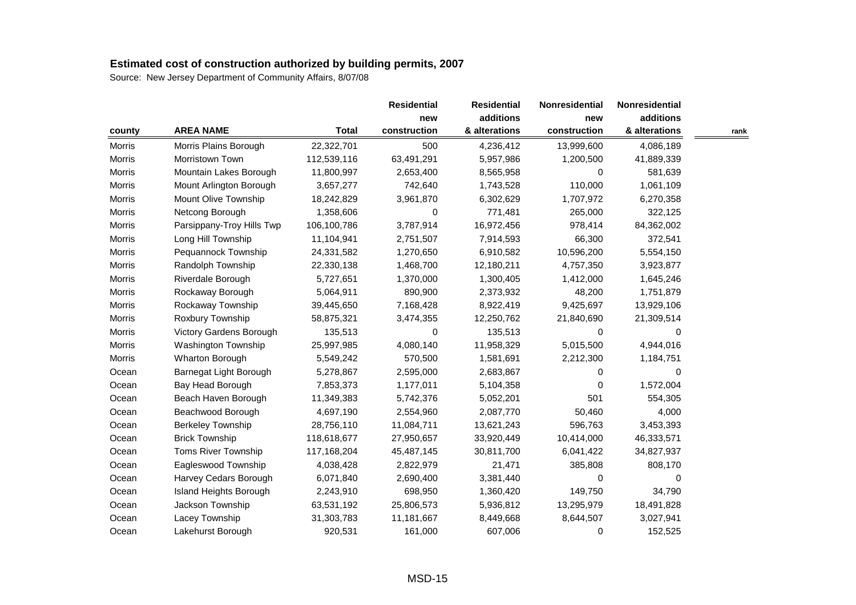|        |                           |              |              | <b>Residential</b> | Nonresidential | Nonresidential |      |
|--------|---------------------------|--------------|--------------|--------------------|----------------|----------------|------|
|        |                           |              | new          | additions          | new            | additions      |      |
| county | <b>AREA NAME</b>          | <b>Total</b> | construction | & alterations      | construction   | & alterations  | rank |
| Morris | Morris Plains Borough     | 22,322,701   | 500          | 4,236,412          | 13,999,600     | 4,086,189      |      |
| Morris | Morristown Town           | 112,539,116  | 63,491,291   | 5,957,986          | 1,200,500      | 41,889,339     |      |
| Morris | Mountain Lakes Borough    | 11,800,997   | 2,653,400    | 8,565,958          | 0              | 581,639        |      |
| Morris | Mount Arlington Borough   | 3,657,277    | 742,640      | 1,743,528          | 110,000        | 1,061,109      |      |
| Morris | Mount Olive Township      | 18,242,829   | 3,961,870    | 6,302,629          | 1,707,972      | 6,270,358      |      |
| Morris | Netcong Borough           | 1,358,606    | 0            | 771,481            | 265,000        | 322,125        |      |
| Morris | Parsippany-Troy Hills Twp | 106,100,786  | 3,787,914    | 16,972,456         | 978,414        | 84,362,002     |      |
| Morris | Long Hill Township        | 11,104,941   | 2,751,507    | 7,914,593          | 66,300         | 372,541        |      |
| Morris | Pequannock Township       | 24,331,582   | 1,270,650    | 6,910,582          | 10,596,200     | 5,554,150      |      |
| Morris | Randolph Township         | 22,330,138   | 1,468,700    | 12,180,211         | 4,757,350      | 3,923,877      |      |
| Morris | Riverdale Borough         | 5,727,651    | 1,370,000    | 1,300,405          | 1,412,000      | 1,645,246      |      |
| Morris | Rockaway Borough          | 5,064,911    | 890,900      | 2,373,932          | 48,200         | 1,751,879      |      |
| Morris | Rockaway Township         | 39,445,650   | 7,168,428    | 8,922,419          | 9,425,697      | 13,929,106     |      |
| Morris | Roxbury Township          | 58,875,321   | 3,474,355    | 12,250,762         | 21,840,690     | 21,309,514     |      |
| Morris | Victory Gardens Borough   | 135,513      | 0            | 135,513            | 0              | 0              |      |
| Morris | Washington Township       | 25,997,985   | 4,080,140    | 11,958,329         | 5,015,500      | 4,944,016      |      |
| Morris | Wharton Borough           | 5,549,242    | 570,500      | 1,581,691          | 2,212,300      | 1,184,751      |      |
| Ocean  | Barnegat Light Borough    | 5,278,867    | 2,595,000    | 2,683,867          | 0              | $\Omega$       |      |
| Ocean  | Bay Head Borough          | 7,853,373    | 1,177,011    | 5,104,358          | 0              | 1,572,004      |      |
| Ocean  | Beach Haven Borough       | 11,349,383   | 5,742,376    | 5,052,201          | 501            | 554,305        |      |
| Ocean  | Beachwood Borough         | 4,697,190    | 2,554,960    | 2,087,770          | 50,460         | 4,000          |      |
| Ocean  | <b>Berkeley Township</b>  | 28,756,110   | 11,084,711   | 13,621,243         | 596,763        | 3,453,393      |      |
| Ocean  | <b>Brick Township</b>     | 118,618,677  | 27,950,657   | 33,920,449         | 10,414,000     | 46,333,571     |      |
| Ocean  | Toms River Township       | 117,168,204  | 45,487,145   | 30,811,700         | 6,041,422      | 34,827,937     |      |
| Ocean  | Eagleswood Township       | 4,038,428    | 2,822,979    | 21,471             | 385,808        | 808,170        |      |
| Ocean  | Harvey Cedars Borough     | 6,071,840    | 2,690,400    | 3,381,440          | 0              | 0              |      |
| Ocean  | Island Heights Borough    | 2,243,910    | 698,950      | 1,360,420          | 149,750        | 34,790         |      |
| Ocean  | Jackson Township          | 63,531,192   | 25,806,573   | 5,936,812          | 13,295,979     | 18,491,828     |      |
| Ocean  | Lacey Township            | 31,303,783   | 11,181,667   | 8,449,668          | 8,644,507      | 3,027,941      |      |
| Ocean  | Lakehurst Borough         | 920,531      | 161,000      | 607,006            | 0              | 152,525        |      |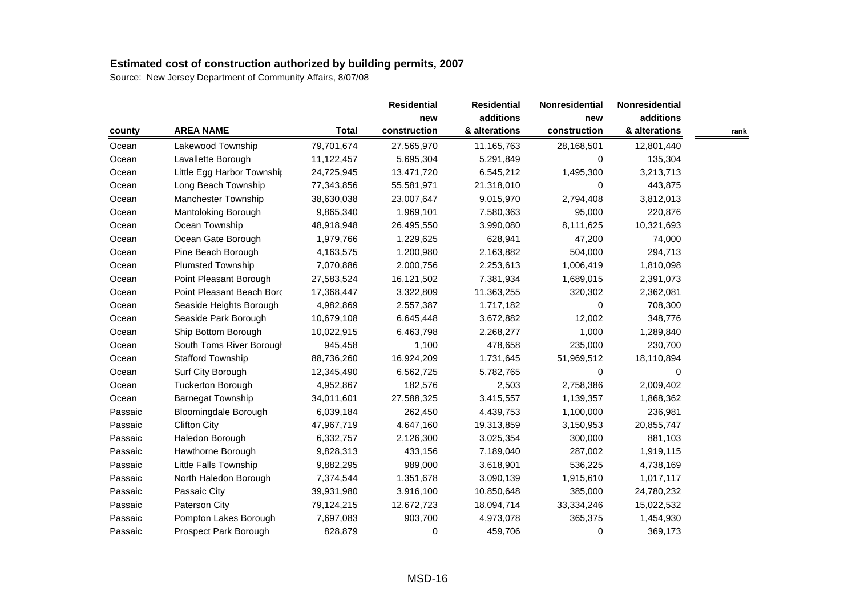| county  |                             |              | <b>Residential</b><br>new | <b>Residential</b> | <b>Nonresidential</b> | Nonresidential<br>additions |      |
|---------|-----------------------------|--------------|---------------------------|--------------------|-----------------------|-----------------------------|------|
|         |                             |              |                           | additions          | new                   |                             |      |
|         | <b>AREA NAME</b>            | <b>Total</b> | construction              | & alterations      | construction          | & alterations               | rank |
| Ocean   | Lakewood Township           | 79,701,674   | 27,565,970                | 11,165,763         | 28,168,501            | 12,801,440                  |      |
| Ocean   | Lavallette Borough          | 11,122,457   | 5,695,304                 | 5,291,849          | 0                     | 135,304                     |      |
| Ocean   | Little Egg Harbor Township  | 24,725,945   | 13,471,720                | 6,545,212          | 1,495,300             | 3,213,713                   |      |
| Ocean   | Long Beach Township         | 77,343,856   | 55,581,971                | 21,318,010         | 0                     | 443,875                     |      |
| Ocean   | Manchester Township         | 38,630,038   | 23,007,647                | 9,015,970          | 2,794,408             | 3,812,013                   |      |
| Ocean   | Mantoloking Borough         | 9,865,340    | 1,969,101                 | 7,580,363          | 95,000                | 220,876                     |      |
| Ocean   | Ocean Township              | 48,918,948   | 26,495,550                | 3,990,080          | 8,111,625             | 10,321,693                  |      |
| Ocean   | Ocean Gate Borough          | 1,979,766    | 1,229,625                 | 628,941            | 47,200                | 74,000                      |      |
| Ocean   | Pine Beach Borough          | 4,163,575    | 1,200,980                 | 2,163,882          | 504,000               | 294,713                     |      |
| Ocean   | Plumsted Township           | 7,070,886    | 2,000,756                 | 2,253,613          | 1,006,419             | 1,810,098                   |      |
| Ocean   | Point Pleasant Borough      | 27,583,524   | 16,121,502                | 7,381,934          | 1,689,015             | 2,391,073                   |      |
| Ocean   | Point Pleasant Beach Bord   | 17,368,447   | 3,322,809                 | 11,363,255         | 320,302               | 2,362,081                   |      |
| Ocean   | Seaside Heights Borough     | 4,982,869    | 2,557,387                 | 1,717,182          | 0                     | 708,300                     |      |
| Ocean   | Seaside Park Borough        | 10,679,108   | 6,645,448                 | 3,672,882          | 12,002                | 348,776                     |      |
| Ocean   | Ship Bottom Borough         | 10,022,915   | 6,463,798                 | 2,268,277          | 1,000                 | 1,289,840                   |      |
| Ocean   | South Toms River Borougl    | 945,458      | 1,100                     | 478,658            | 235,000               | 230,700                     |      |
| Ocean   | <b>Stafford Township</b>    | 88,736,260   | 16,924,209                | 1,731,645          | 51,969,512            | 18,110,894                  |      |
| Ocean   | Surf City Borough           | 12,345,490   | 6,562,725                 | 5,782,765          | 0                     | 0                           |      |
| Ocean   | <b>Tuckerton Borough</b>    | 4,952,867    | 182,576                   | 2,503              | 2,758,386             | 2,009,402                   |      |
| Ocean   | <b>Barnegat Township</b>    | 34,011,601   | 27,588,325                | 3,415,557          | 1,139,357             | 1,868,362                   |      |
| Passaic | <b>Bloomingdale Borough</b> | 6,039,184    | 262,450                   | 4,439,753          | 1,100,000             | 236,981                     |      |
| Passaic | <b>Clifton City</b>         | 47,967,719   | 4,647,160                 | 19,313,859         | 3,150,953             | 20,855,747                  |      |
| Passaic | Haledon Borough             | 6,332,757    | 2,126,300                 | 3,025,354          | 300,000               | 881,103                     |      |
| Passaic | Hawthorne Borough           | 9,828,313    | 433,156                   | 7,189,040          | 287,002               | 1,919,115                   |      |
| Passaic | Little Falls Township       | 9,882,295    | 989,000                   | 3,618,901          | 536,225               | 4,738,169                   |      |
| Passaic | North Haledon Borough       | 7,374,544    | 1,351,678                 | 3,090,139          | 1,915,610             | 1,017,117                   |      |
| Passaic | Passaic City                | 39,931,980   | 3,916,100                 | 10,850,648         | 385,000               | 24,780,232                  |      |
| Passaic | Paterson City               | 79,124,215   | 12,672,723                | 18,094,714         | 33,334,246            | 15,022,532                  |      |
| Passaic | Pompton Lakes Borough       | 7,697,083    | 903,700                   | 4,973,078          | 365,375               | 1,454,930                   |      |
| Passaic | Prospect Park Borough       | 828,879      | 0                         | 459,706            | 0                     | 369,173                     |      |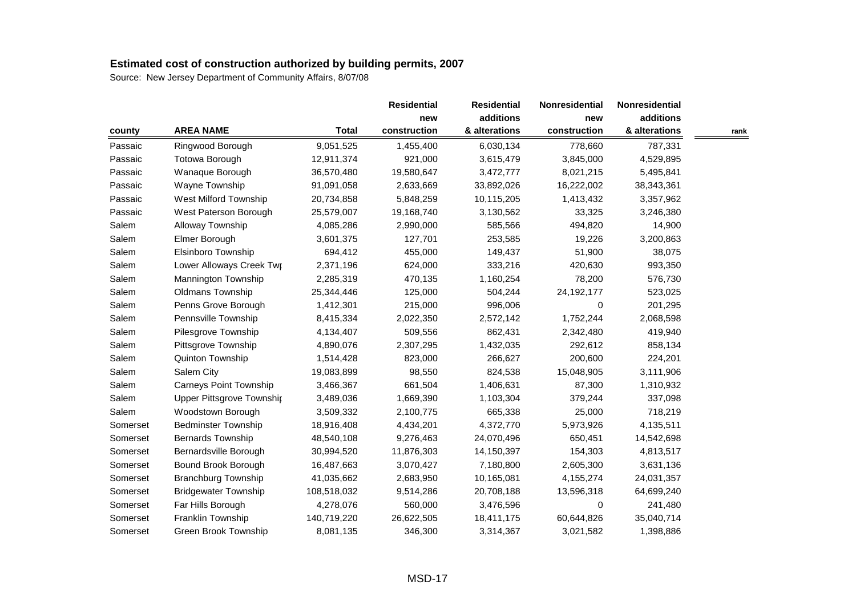| county   |                                  |              |              | <b>Residential</b> | Nonresidential | Nonresidential |      |
|----------|----------------------------------|--------------|--------------|--------------------|----------------|----------------|------|
|          |                                  |              | new          | additions          | new            | additions      |      |
|          | <b>AREA NAME</b>                 | <b>Total</b> | construction | & alterations      | construction   | & alterations  | rank |
| Passaic  | Ringwood Borough                 | 9,051,525    | 1,455,400    | 6,030,134          | 778,660        | 787,331        |      |
| Passaic  | Totowa Borough                   | 12,911,374   | 921,000      | 3,615,479          | 3,845,000      | 4,529,895      |      |
| Passaic  | Wanaque Borough                  | 36,570,480   | 19,580,647   | 3,472,777          | 8,021,215      | 5,495,841      |      |
| Passaic  | Wayne Township                   | 91,091,058   | 2,633,669    | 33,892,026         | 16,222,002     | 38,343,361     |      |
| Passaic  | West Milford Township            | 20,734,858   | 5,848,259    | 10,115,205         | 1,413,432      | 3,357,962      |      |
| Passaic  | West Paterson Borough            | 25,579,007   | 19,168,740   | 3,130,562          | 33,325         | 3,246,380      |      |
| Salem    | Alloway Township                 | 4,085,286    | 2,990,000    | 585,566            | 494,820        | 14,900         |      |
| Salem    | Elmer Borough                    | 3,601,375    | 127,701      | 253,585            | 19,226         | 3,200,863      |      |
| Salem    | Elsinboro Township               | 694,412      | 455,000      | 149,437            | 51,900         | 38,075         |      |
| Salem    | Lower Alloways Creek Twr         | 2,371,196    | 624,000      | 333,216            | 420,630        | 993,350        |      |
| Salem    | Mannington Township              | 2,285,319    | 470,135      | 1,160,254          | 78,200         | 576,730        |      |
| Salem    | Oldmans Township                 | 25,344,446   | 125,000      | 504,244            | 24, 192, 177   | 523,025        |      |
| Salem    | Penns Grove Borough              | 1,412,301    | 215,000      | 996,006            | 0              | 201,295        |      |
| Salem    | Pennsville Township              | 8,415,334    | 2,022,350    | 2,572,142          | 1,752,244      | 2,068,598      |      |
| Salem    | Pilesgrove Township              | 4,134,407    | 509,556      | 862,431            | 2,342,480      | 419,940        |      |
| Salem    | Pittsgrove Township              | 4,890,076    | 2,307,295    | 1,432,035          | 292,612        | 858,134        |      |
| Salem    | Quinton Township                 | 1,514,428    | 823,000      | 266,627            | 200,600        | 224,201        |      |
| Salem    | Salem City                       | 19,083,899   | 98,550       | 824,538            | 15,048,905     | 3,111,906      |      |
| Salem    | Carneys Point Township           | 3,466,367    | 661,504      | 1,406,631          | 87,300         | 1,310,932      |      |
| Salem    | <b>Upper Pittsgrove Township</b> | 3,489,036    | 1,669,390    | 1,103,304          | 379,244        | 337,098        |      |
| Salem    | Woodstown Borough                | 3,509,332    | 2,100,775    | 665,338            | 25,000         | 718,219        |      |
| Somerset | <b>Bedminster Township</b>       | 18,916,408   | 4,434,201    | 4,372,770          | 5,973,926      | 4,135,511      |      |
| Somerset | <b>Bernards Township</b>         | 48,540,108   | 9,276,463    | 24,070,496         | 650,451        | 14,542,698     |      |
| Somerset | Bernardsville Borough            | 30,994,520   | 11,876,303   | 14,150,397         | 154,303        | 4,813,517      |      |
| Somerset | Bound Brook Borough              | 16,487,663   | 3,070,427    | 7,180,800          | 2,605,300      | 3,631,136      |      |
| Somerset | <b>Branchburg Township</b>       | 41,035,662   | 2,683,950    | 10,165,081         | 4,155,274      | 24,031,357     |      |
| Somerset | <b>Bridgewater Township</b>      | 108,518,032  | 9,514,286    | 20,708,188         | 13,596,318     | 64,699,240     |      |
| Somerset | Far Hills Borough                | 4,278,076    | 560,000      | 3,476,596          | 0              | 241,480        |      |
| Somerset | Franklin Township                | 140,719,220  | 26,622,505   | 18,411,175         | 60,644,826     | 35,040,714     |      |
| Somerset | Green Brook Township             | 8,081,135    | 346,300      | 3,314,367          | 3,021,582      | 1,398,886      |      |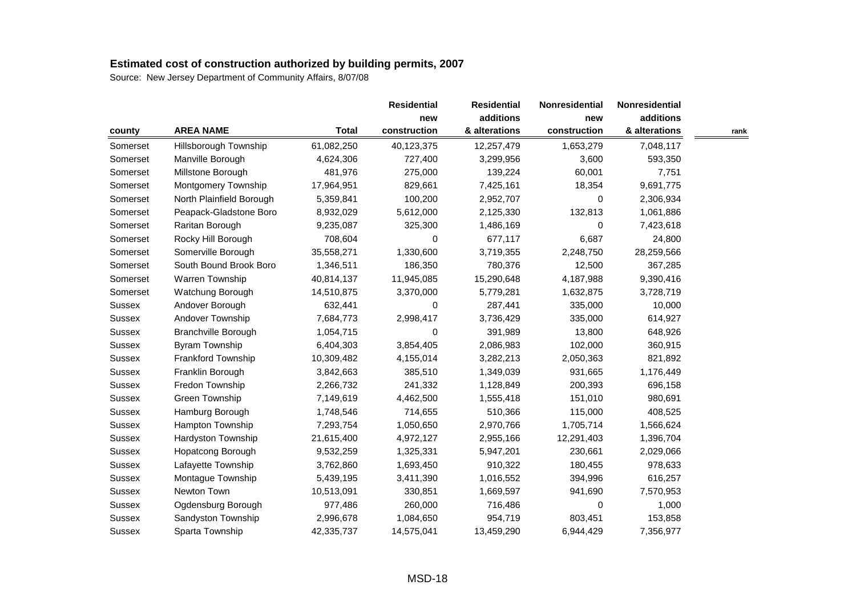|               |                            |              | <b>Residential</b> | <b>Residential</b> | Nonresidential | Nonresidential |      |
|---------------|----------------------------|--------------|--------------------|--------------------|----------------|----------------|------|
|               |                            |              | new                | additions          | new            | additions      |      |
| county        | <b>AREA NAME</b>           | <b>Total</b> | construction       | & alterations      | construction   | & alterations  | rank |
| Somerset      | Hillsborough Township      | 61,082,250   | 40,123,375         | 12,257,479         | 1,653,279      | 7,048,117      |      |
| Somerset      | Manville Borough           | 4,624,306    | 727,400            | 3,299,956          | 3,600          | 593,350        |      |
| Somerset      | Millstone Borough          | 481,976      | 275,000            | 139,224            | 60,001         | 7,751          |      |
| Somerset      | Montgomery Township        | 17,964,951   | 829,661            | 7,425,161          | 18,354         | 9,691,775      |      |
| Somerset      | North Plainfield Borough   | 5,359,841    | 100,200            | 2,952,707          | 0              | 2,306,934      |      |
| Somerset      | Peapack-Gladstone Boro     | 8,932,029    | 5,612,000          | 2,125,330          | 132,813        | 1,061,886      |      |
| Somerset      | Raritan Borough            | 9,235,087    | 325,300            | 1,486,169          | 0              | 7,423,618      |      |
| Somerset      | Rocky Hill Borough         | 708,604      | 0                  | 677,117            | 6,687          | 24,800         |      |
| Somerset      | Somerville Borough         | 35,558,271   | 1,330,600          | 3,719,355          | 2,248,750      | 28,259,566     |      |
| Somerset      | South Bound Brook Boro     | 1,346,511    | 186,350            | 780,376            | 12,500         | 367,285        |      |
| Somerset      | Warren Township            | 40,814,137   | 11,945,085         | 15,290,648         | 4,187,988      | 9,390,416      |      |
| Somerset      | Watchung Borough           | 14,510,875   | 3,370,000          | 5,779,281          | 1,632,875      | 3,728,719      |      |
| Sussex        | Andover Borough            | 632,441      | 0                  | 287,441            | 335,000        | 10,000         |      |
| Sussex        | Andover Township           | 7,684,773    | 2,998,417          | 3,736,429          | 335,000        | 614,927        |      |
| <b>Sussex</b> | <b>Branchville Borough</b> | 1,054,715    | 0                  | 391,989            | 13,800         | 648,926        |      |
| <b>Sussex</b> | <b>Byram Township</b>      | 6,404,303    | 3,854,405          | 2,086,983          | 102,000        | 360,915        |      |
| Sussex        | Frankford Township         | 10,309,482   | 4,155,014          | 3,282,213          | 2,050,363      | 821,892        |      |
| Sussex        | Franklin Borough           | 3,842,663    | 385,510            | 1,349,039          | 931,665        | 1,176,449      |      |
| Sussex        | Fredon Township            | 2,266,732    | 241,332            | 1,128,849          | 200,393        | 696,158        |      |
| Sussex        | Green Township             | 7,149,619    | 4,462,500          | 1,555,418          | 151,010        | 980,691        |      |
| Sussex        | Hamburg Borough            | 1,748,546    | 714,655            | 510,366            | 115,000        | 408,525        |      |
| <b>Sussex</b> | Hampton Township           | 7,293,754    | 1,050,650          | 2,970,766          | 1,705,714      | 1,566,624      |      |
| <b>Sussex</b> | Hardyston Township         | 21,615,400   | 4,972,127          | 2,955,166          | 12,291,403     | 1,396,704      |      |
| Sussex        | Hopatcong Borough          | 9,532,259    | 1,325,331          | 5,947,201          | 230,661        | 2,029,066      |      |
| Sussex        | Lafayette Township         | 3,762,860    | 1,693,450          | 910,322            | 180,455        | 978,633        |      |
| <b>Sussex</b> | Montague Township          | 5,439,195    | 3,411,390          | 1,016,552          | 394,996        | 616,257        |      |
| Sussex        | Newton Town                | 10,513,091   | 330,851            | 1,669,597          | 941,690        | 7,570,953      |      |
| Sussex        | Ogdensburg Borough         | 977,486      | 260,000            | 716,486            | 0              | 1,000          |      |
| Sussex        | Sandyston Township         | 2,996,678    | 1,084,650          | 954,719            | 803,451        | 153,858        |      |
| Sussex        | Sparta Township            | 42,335,737   | 14,575,041         | 13,459,290         | 6,944,429      | 7,356,977      |      |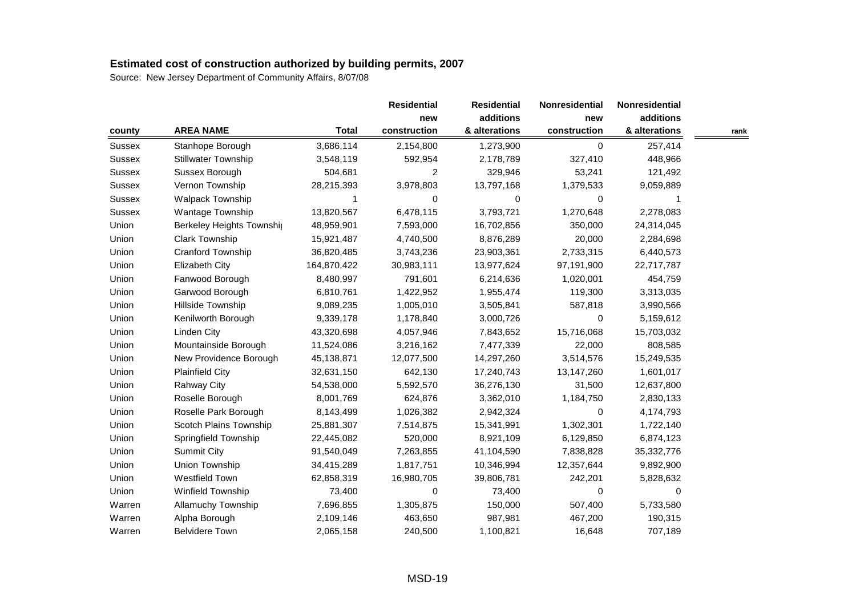|               |                           |              |              | <b>Residential</b> | Nonresidential | Nonresidential |      |
|---------------|---------------------------|--------------|--------------|--------------------|----------------|----------------|------|
|               |                           |              | new          | additions          | new            | additions      |      |
| county        | <b>AREA NAME</b>          | <b>Total</b> | construction | & alterations      | construction   | & alterations  | rank |
| Sussex        | Stanhope Borough          | 3,686,114    | 2,154,800    | 1,273,900          | 0              | 257,414        |      |
| Sussex        | Stillwater Township       | 3,548,119    | 592,954      | 2,178,789          | 327,410        | 448,966        |      |
| <b>Sussex</b> | Sussex Borough            | 504,681      | 2            | 329,946            | 53,241         | 121,492        |      |
| Sussex        | Vernon Township           | 28,215,393   | 3,978,803    | 13,797,168         | 1,379,533      | 9,059,889      |      |
| <b>Sussex</b> | <b>Walpack Township</b>   | 1            | 0            | 0                  | 0              | 1              |      |
| <b>Sussex</b> | Wantage Township          | 13,820,567   | 6,478,115    | 3,793,721          | 1,270,648      | 2,278,083      |      |
| Union         | Berkeley Heights Township | 48,959,901   | 7,593,000    | 16,702,856         | 350,000        | 24,314,045     |      |
| Union         | Clark Township            | 15,921,487   | 4,740,500    | 8,876,289          | 20,000         | 2,284,698      |      |
| Union         | Cranford Township         | 36,820,485   | 3,743,236    | 23,903,361         | 2,733,315      | 6,440,573      |      |
| Union         | Elizabeth City            | 164,870,422  | 30,983,111   | 13,977,624         | 97,191,900     | 22,717,787     |      |
| Union         | Fanwood Borough           | 8,480,997    | 791,601      | 6,214,636          | 1,020,001      | 454,759        |      |
| Union         | Garwood Borough           | 6,810,761    | 1,422,952    | 1,955,474          | 119,300        | 3,313,035      |      |
| Union         | Hillside Township         | 9,089,235    | 1,005,010    | 3,505,841          | 587,818        | 3,990,566      |      |
| Union         | Kenilworth Borough        | 9,339,178    | 1,178,840    | 3,000,726          | 0              | 5,159,612      |      |
| Union         | Linden City               | 43,320,698   | 4,057,946    | 7,843,652          | 15,716,068     | 15,703,032     |      |
| Union         | Mountainside Borough      | 11,524,086   | 3,216,162    | 7,477,339          | 22,000         | 808,585        |      |
| Union         | New Providence Borough    | 45,138,871   | 12,077,500   | 14,297,260         | 3,514,576      | 15,249,535     |      |
| Union         | <b>Plainfield City</b>    | 32,631,150   | 642,130      | 17,240,743         | 13,147,260     | 1,601,017      |      |
| Union         | <b>Rahway City</b>        | 54,538,000   | 5,592,570    | 36,276,130         | 31,500         | 12,637,800     |      |
| Union         | Roselle Borough           | 8,001,769    | 624,876      | 3,362,010          | 1,184,750      | 2,830,133      |      |
| Union         | Roselle Park Borough      | 8,143,499    | 1,026,382    | 2,942,324          | 0              | 4,174,793      |      |
| Union         | Scotch Plains Township    | 25,881,307   | 7,514,875    | 15,341,991         | 1,302,301      | 1,722,140      |      |
| Union         | Springfield Township      | 22,445,082   | 520,000      | 8,921,109          | 6,129,850      | 6,874,123      |      |
| Union         | Summit City               | 91,540,049   | 7,263,855    | 41,104,590         | 7,838,828      | 35, 332, 776   |      |
| Union         | Union Township            | 34,415,289   | 1,817,751    | 10,346,994         | 12,357,644     | 9,892,900      |      |
| Union         | Westfield Town            | 62,858,319   | 16,980,705   | 39,806,781         | 242,201        | 5,828,632      |      |
| Union         | Winfield Township         | 73,400       | 0            | 73,400             | 0              | 0              |      |
| Warren        | Allamuchy Township        | 7,696,855    | 1,305,875    | 150,000            | 507,400        | 5,733,580      |      |
| Warren        | Alpha Borough             | 2,109,146    | 463,650      | 987,981            | 467,200        | 190,315        |      |
| Warren        | <b>Belvidere Town</b>     | 2,065,158    | 240,500      | 1,100,821          | 16,648         | 707,189        |      |